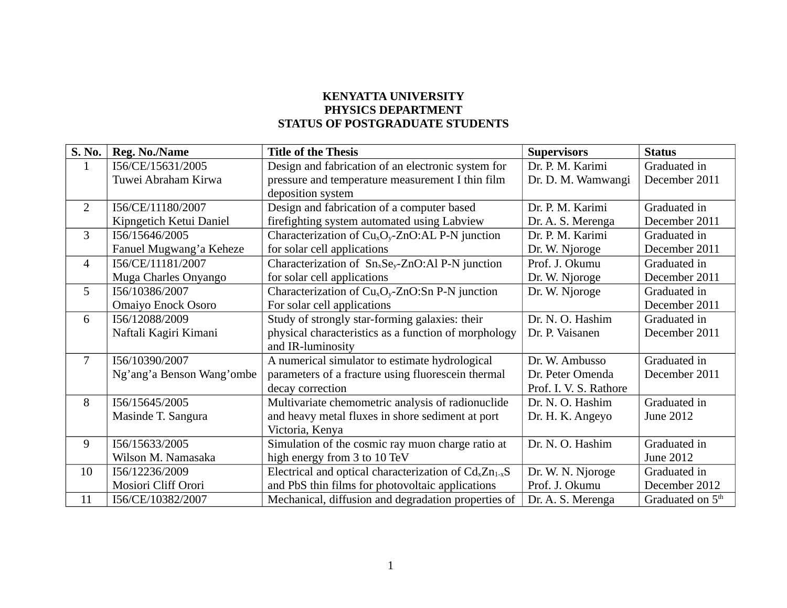## **KENYATTA UNIVERSITY PHYSICS DEPARTMENT STATUS OF POSTGRADUATE STUDENTS**

| S. No.          | Reg. No./Name             | <b>Title of the Thesis</b>                             | <b>Supervisors</b>     | <b>Status</b>                |
|-----------------|---------------------------|--------------------------------------------------------|------------------------|------------------------------|
| $\mathbf{1}$    | I56/CE/15631/2005         | Design and fabrication of an electronic system for     | Dr. P. M. Karimi       | Graduated in                 |
|                 | Tuwei Abraham Kirwa       | pressure and temperature measurement I thin film       | Dr. D. M. Wamwangi     | December 2011                |
|                 |                           | deposition system                                      |                        |                              |
| $\overline{2}$  | I56/CE/11180/2007         | Design and fabrication of a computer based             | Dr. P. M. Karimi       | Graduated in                 |
|                 | Kipngetich Ketui Daniel   | firefighting system automated using Labview            | Dr. A. S. Merenga      | December 2011                |
| $\overline{3}$  | I56/15646/2005            | Characterization of $CuxOy$ -ZnO:AL P-N junction       | Dr. P. M. Karimi       | Graduated in                 |
|                 | Fanuel Mugwang'a Keheze   | for solar cell applications                            | Dr. W. Njoroge         | December 2011                |
| $\overline{4}$  | I56/CE/11181/2007         | Characterization of $Sn_xSe_y$ -ZnO:Al P-N junction    | Prof. J. Okumu         | Graduated in                 |
|                 | Muga Charles Onyango      | for solar cell applications                            | Dr. W. Njoroge         | December 2011                |
| $5\overline{)}$ | I56/10386/2007            | Characterization of $CuxOy$ -ZnO:Sn P-N junction       | Dr. W. Njoroge         | Graduated in                 |
|                 | <b>Omaiyo Enock Osoro</b> | For solar cell applications                            |                        | December 2011                |
| 6               | I56/12088/2009            | Study of strongly star-forming galaxies: their         | Dr. N. O. Hashim       | Graduated in                 |
|                 | Naftali Kagiri Kimani     | physical characteristics as a function of morphology   | Dr. P. Vaisanen        | December 2011                |
|                 |                           | and IR-luminosity                                      |                        |                              |
| $\overline{7}$  | I56/10390/2007            | A numerical simulator to estimate hydrological         | Dr. W. Ambusso         | Graduated in                 |
|                 | Ng'ang'a Benson Wang'ombe | parameters of a fracture using fluorescein thermal     | Dr. Peter Omenda       | December 2011                |
|                 |                           | decay correction                                       | Prof. I. V. S. Rathore |                              |
| 8               | I56/15645/2005            | Multivariate chemometric analysis of radionuclide      | Dr. N. O. Hashim       | Graduated in                 |
|                 | Masinde T. Sangura        | and heavy metal fluxes in shore sediment at port       | Dr. H. K. Angeyo       | June 2012                    |
|                 |                           | Victoria, Kenya                                        |                        |                              |
| 9               | I56/15633/2005            | Simulation of the cosmic ray muon charge ratio at      | Dr. N. O. Hashim       | Graduated in                 |
|                 | Wilson M. Namasaka        | high energy from 3 to 10 TeV                           |                        | June 2012                    |
| 10              | I56/12236/2009            | Electrical and optical characterization of $CdxZn1-xS$ | Dr. W. N. Njoroge      | Graduated in                 |
|                 | Mosiori Cliff Orori       | and PbS thin films for photovoltaic applications       | Prof. J. Okumu         | December 2012                |
| 11              | I56/CE/10382/2007         | Mechanical, diffusion and degradation properties of    | Dr. A. S. Merenga      | Graduated on 5 <sup>th</sup> |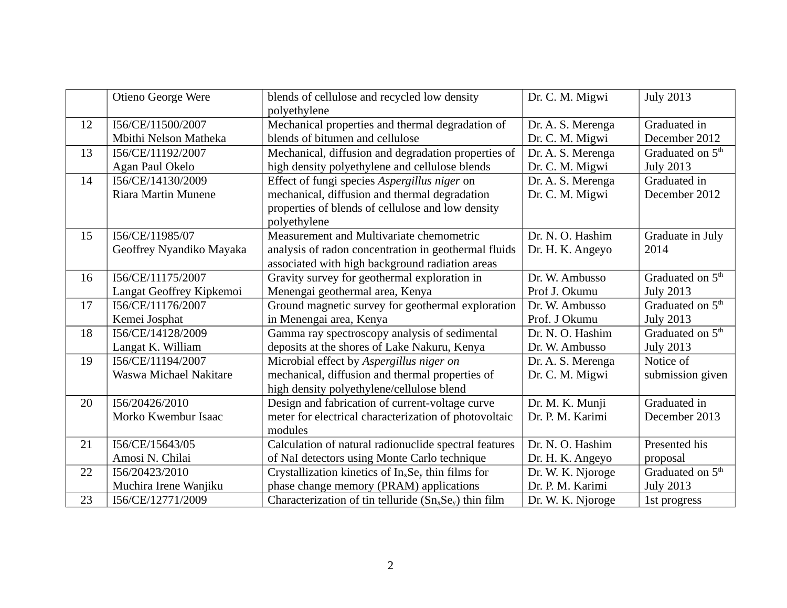|    | Otieno George Were       | blends of cellulose and recycled low density<br>polyethylene | Dr. C. M. Migwi   | <b>July 2013</b>             |
|----|--------------------------|--------------------------------------------------------------|-------------------|------------------------------|
| 12 | I56/CE/11500/2007        | Mechanical properties and thermal degradation of             | Dr. A. S. Merenga | Graduated in                 |
|    | Mbithi Nelson Matheka    | blends of bitumen and cellulose                              | Dr. C. M. Migwi   | December 2012                |
| 13 | I56/CE/11192/2007        | Mechanical, diffusion and degradation properties of          | Dr. A. S. Merenga | Graduated on 5 <sup>th</sup> |
|    | Agan Paul Okelo          | high density polyethylene and cellulose blends               | Dr. C. M. Migwi   | <b>July 2013</b>             |
| 14 | I56/CE/14130/2009        | Effect of fungi species Aspergillus niger on                 | Dr. A. S. Merenga | Graduated in                 |
|    | Riara Martin Munene      | mechanical, diffusion and thermal degradation                | Dr. C. M. Migwi   | December 2012                |
|    |                          | properties of blends of cellulose and low density            |                   |                              |
|    |                          | polyethylene                                                 |                   |                              |
| 15 | I56/CE/11985/07          | Measurement and Multivariate chemometric                     | Dr. N. O. Hashim  | Graduate in July             |
|    | Geoffrey Nyandiko Mayaka | analysis of radon concentration in geothermal fluids         | Dr. H. K. Angeyo  | 2014                         |
|    |                          | associated with high background radiation areas              |                   |                              |
| 16 | I56/CE/11175/2007        | Gravity survey for geothermal exploration in                 | Dr. W. Ambusso    | Graduated on 5 <sup>th</sup> |
|    | Langat Geoffrey Kipkemoi | Menengai geothermal area, Kenya                              | Prof J. Okumu     | <b>July 2013</b>             |
| 17 | I56/CE/11176/2007        | Ground magnetic survey for geothermal exploration            | Dr. W. Ambusso    | Graduated on 5 <sup>th</sup> |
|    | Kemei Josphat            | in Menengai area, Kenya                                      | Prof. J Okumu     | <b>July 2013</b>             |
| 18 | I56/CE/14128/2009        | Gamma ray spectroscopy analysis of sedimental                | Dr. N. O. Hashim  | Graduated on 5 <sup>th</sup> |
|    | Langat K. William        | deposits at the shores of Lake Nakuru, Kenya                 | Dr. W. Ambusso    | <b>July 2013</b>             |
| 19 | I56/CE/11194/2007        | Microbial effect by Aspergillus niger on                     | Dr. A. S. Merenga | Notice of                    |
|    | Waswa Michael Nakitare   | mechanical, diffusion and thermal properties of              | Dr. C. M. Migwi   | submission given             |
|    |                          | high density polyethylene/cellulose blend                    |                   |                              |
| 20 | I56/20426/2010           | Design and fabrication of current-voltage curve              | Dr. M. K. Munji   | Graduated in                 |
|    | Morko Kwembur Isaac      | meter for electrical characterization of photovoltaic        | Dr. P. M. Karimi  | December 2013                |
|    |                          | modules                                                      |                   |                              |
| 21 | I56/CE/15643/05          | Calculation of natural radionuclide spectral features        | Dr. N. O. Hashim  | Presented his                |
|    | Amosi N. Chilai          | of NaI detectors using Monte Carlo technique                 | Dr. H. K. Angeyo  | proposal                     |
| 22 | I56/20423/2010           | Crystallization kinetics of $In_xSe_y$ thin films for        | Dr. W. K. Njoroge | Graduated on 5 <sup>th</sup> |
|    | Muchira Irene Wanjiku    | phase change memory (PRAM) applications                      | Dr. P. M. Karimi  | <b>July 2013</b>             |
| 23 | I56/CE/12771/2009        | Characterization of tin telluride $(Sn_xSe_y)$ thin film     | Dr. W. K. Njoroge | 1st progress                 |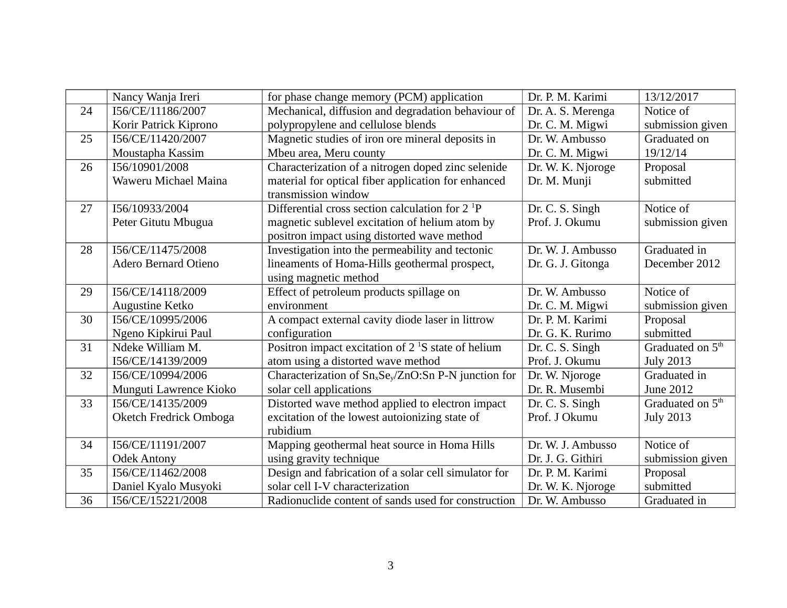|    | Nancy Wanja Ireri           | for phase change memory (PCM) application                                    | Dr. P. M. Karimi  | 13/12/2017                   |
|----|-----------------------------|------------------------------------------------------------------------------|-------------------|------------------------------|
| 24 | I56/CE/11186/2007           | Mechanical, diffusion and degradation behaviour of                           | Dr. A. S. Merenga | Notice of                    |
|    | Korir Patrick Kiprono       | polypropylene and cellulose blends                                           | Dr. C. M. Migwi   | submission given             |
| 25 | I56/CE/11420/2007           | Magnetic studies of iron ore mineral deposits in                             | Dr. W. Ambusso    | Graduated on                 |
|    | Moustapha Kassim            | Mbeu area, Meru county                                                       | Dr. C. M. Migwi   | 19/12/14                     |
| 26 | I56/10901/2008              | Characterization of a nitrogen doped zinc selenide                           | Dr. W. K. Njoroge | Proposal                     |
|    | Waweru Michael Maina        | material for optical fiber application for enhanced                          | Dr. M. Munji      | submitted                    |
|    |                             | transmission window                                                          |                   |                              |
| 27 | I56/10933/2004              | Differential cross section calculation for $2^{1}P$                          | Dr. C. S. Singh   | Notice of                    |
|    | Peter Gitutu Mbugua         | magnetic sublevel excitation of helium atom by                               | Prof. J. Okumu    | submission given             |
|    |                             | positron impact using distorted wave method                                  |                   |                              |
| 28 | I56/CE/11475/2008           | Investigation into the permeability and tectonic                             | Dr. W. J. Ambusso | Graduated in                 |
|    | <b>Adero Bernard Otieno</b> | lineaments of Homa-Hills geothermal prospect,                                | Dr. G. J. Gitonga | December 2012                |
|    |                             | using magnetic method                                                        |                   |                              |
| 29 | I56/CE/14118/2009           | Effect of petroleum products spillage on                                     | Dr. W. Ambusso    | Notice of                    |
|    | Augustine Ketko             | environment                                                                  | Dr. C. M. Migwi   | submission given             |
| 30 | I56/CE/10995/2006           | A compact external cavity diode laser in littrow                             | Dr. P. M. Karimi  | Proposal                     |
|    | Ngeno Kipkirui Paul         | configuration                                                                | Dr. G. K. Rurimo  | submitted                    |
| 31 | Ndeke William M.            | Positron impact excitation of 2 <sup>1</sup> S state of helium               | Dr. C. S. Singh   | Graduated on 5 <sup>th</sup> |
|    | I56/CE/14139/2009           | atom using a distorted wave method                                           | Prof. J. Okumu    | <b>July 2013</b>             |
| 32 | I56/CE/10994/2006           | Characterization of Sn <sub>x</sub> Se <sub>y</sub> /ZnO:Sn P-N junction for | Dr. W. Njoroge    | Graduated in                 |
|    | Munguti Lawrence Kioko      | solar cell applications                                                      | Dr. R. Musembi    | June 2012                    |
| 33 | I56/CE/14135/2009           | Distorted wave method applied to electron impact                             | Dr. C. S. Singh   | Graduated on 5 <sup>th</sup> |
|    | Oketch Fredrick Omboga      | excitation of the lowest autoionizing state of                               | Prof. J Okumu     | <b>July 2013</b>             |
|    |                             | rubidium                                                                     |                   |                              |
| 34 | I56/CE/11191/2007           | Mapping geothermal heat source in Homa Hills                                 | Dr. W. J. Ambusso | Notice of                    |
|    | <b>Odek Antony</b>          | using gravity technique                                                      | Dr. J. G. Githiri | submission given             |
| 35 | I56/CE/11462/2008           | Design and fabrication of a solar cell simulator for                         | Dr. P. M. Karimi  | Proposal                     |
|    | Daniel Kyalo Musyoki        | solar cell I-V characterization                                              | Dr. W. K. Njoroge | submitted                    |
| 36 | I56/CE/15221/2008           | Radionuclide content of sands used for construction                          | Dr. W. Ambusso    | Graduated in                 |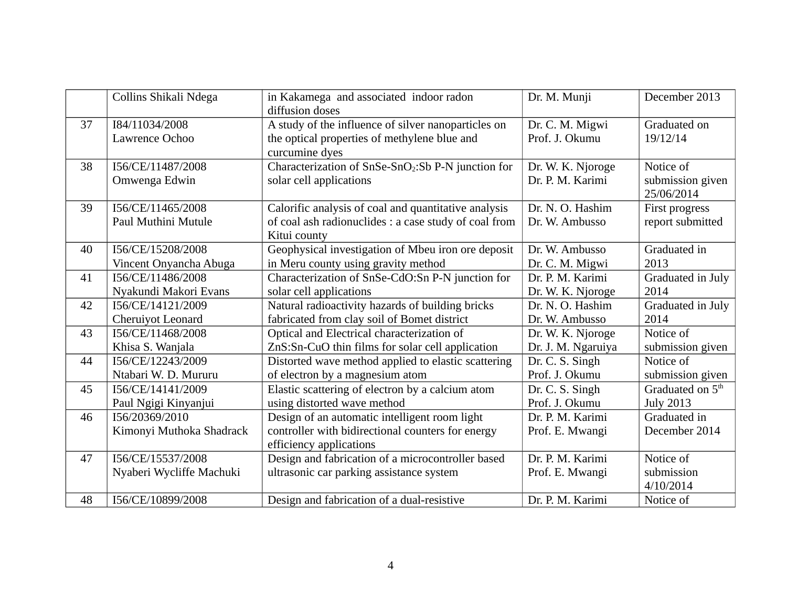|    | Collins Shikali Ndega                         | in Kakamega and associated indoor radon<br>diffusion doses                                                                    | Dr. M. Munji                            | December 2013                                    |
|----|-----------------------------------------------|-------------------------------------------------------------------------------------------------------------------------------|-----------------------------------------|--------------------------------------------------|
| 37 | I84/11034/2008<br>Lawrence Ochoo              | A study of the influence of silver nanoparticles on<br>the optical properties of methylene blue and<br>curcumine dyes         | Dr. C. M. Migwi<br>Prof. J. Okumu       | Graduated on<br>19/12/14                         |
| 38 | I56/CE/11487/2008<br>Omwenga Edwin            | Characterization of SnSe-SnO <sub>2</sub> :Sb P-N junction for<br>solar cell applications                                     | Dr. W. K. Njoroge<br>Dr. P. M. Karimi   | Notice of<br>submission given<br>25/06/2014      |
| 39 | I56/CE/11465/2008<br>Paul Muthini Mutule      | Calorific analysis of coal and quantitative analysis<br>of coal ash radionuclides : a case study of coal from<br>Kitui county | Dr. N. O. Hashim<br>Dr. W. Ambusso      | First progress<br>report submitted               |
| 40 | I56/CE/15208/2008<br>Vincent Onyancha Abuga   | Geophysical investigation of Mbeu iron ore deposit<br>in Meru county using gravity method                                     | Dr. W. Ambusso<br>Dr. C. M. Migwi       | Graduated in<br>2013                             |
| 41 | I56/CE/11486/2008<br>Nyakundi Makori Evans    | Characterization of SnSe-CdO:Sn P-N junction for<br>solar cell applications                                                   | Dr. P. M. Karimi<br>Dr. W. K. Njoroge   | Graduated in July<br>2014                        |
| 42 | I56/CE/14121/2009<br>Cheruiyot Leonard        | Natural radioactivity hazards of building bricks<br>fabricated from clay soil of Bomet district                               | Dr. N. O. Hashim<br>Dr. W. Ambusso      | Graduated in July<br>2014                        |
| 43 | I56/CE/11468/2008<br>Khisa S. Wanjala         | Optical and Electrical characterization of<br>ZnS:Sn-CuO thin films for solar cell application                                | Dr. W. K. Njoroge<br>Dr. J. M. Ngaruiya | Notice of<br>submission given                    |
| 44 | I56/CE/12243/2009<br>Ntabari W. D. Mururu     | Distorted wave method applied to elastic scattering<br>of electron by a magnesium atom                                        | Dr. C. S. Singh<br>Prof. J. Okumu       | Notice of<br>submission given                    |
| 45 | I56/CE/14141/2009<br>Paul Ngigi Kinyanjui     | Elastic scattering of electron by a calcium atom<br>using distorted wave method                                               | Dr. C. S. Singh<br>Prof. J. Okumu       | Graduated on 5 <sup>th</sup><br><b>July 2013</b> |
| 46 | I56/20369/2010<br>Kimonyi Muthoka Shadrack    | Design of an automatic intelligent room light<br>controller with bidirectional counters for energy<br>efficiency applications | Dr. P. M. Karimi<br>Prof. E. Mwangi     | Graduated in<br>December 2014                    |
| 47 | I56/CE/15537/2008<br>Nyaberi Wycliffe Machuki | Design and fabrication of a microcontroller based<br>ultrasonic car parking assistance system                                 | Dr. P. M. Karimi<br>Prof. E. Mwangi     | Notice of<br>submission<br>4/10/2014             |
| 48 | I56/CE/10899/2008                             | Design and fabrication of a dual-resistive                                                                                    | Dr. P. M. Karimi                        | Notice of                                        |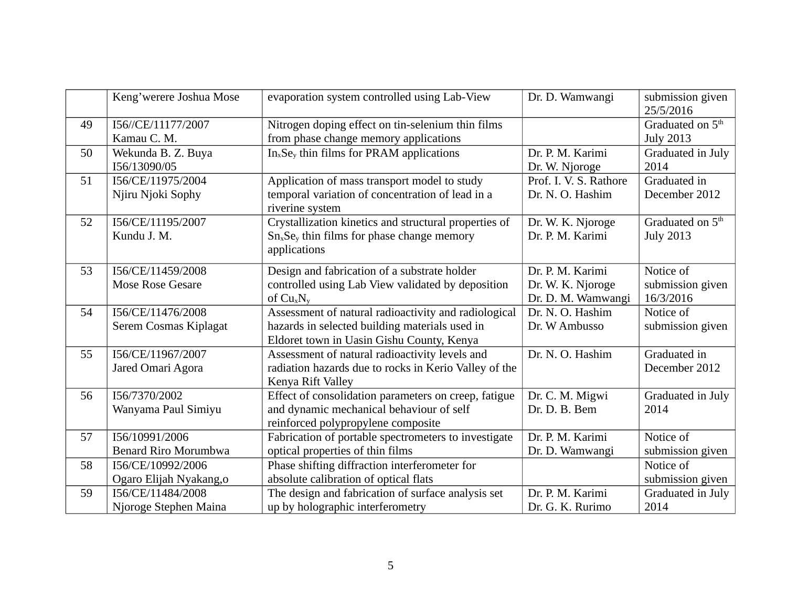|    | Keng'werere Joshua Mose     | evaporation system controlled using Lab-View                        | Dr. D. Wamwangi        | submission given<br>25/5/2016 |
|----|-----------------------------|---------------------------------------------------------------------|------------------------|-------------------------------|
| 49 | I56//CE/11177/2007          | Nitrogen doping effect on tin-selenium thin films                   |                        | Graduated on 5 <sup>th</sup>  |
|    | Kamau C. M.                 | from phase change memory applications                               |                        | <b>July 2013</b>              |
| 50 | Wekunda B. Z. Buya          | $In_xSe_y$ thin films for PRAM applications                         | Dr. P. M. Karimi       | Graduated in July             |
|    | I56/13090/05                |                                                                     | Dr. W. Njoroge         | 2014                          |
| 51 | I56/CE/11975/2004           | Application of mass transport model to study                        | Prof. I. V. S. Rathore | Graduated in                  |
|    | Njiru Njoki Sophy           | temporal variation of concentration of lead in a<br>riverine system | Dr. N. O. Hashim       | December 2012                 |
| 52 | I56/CE/11195/2007           | Crystallization kinetics and structural properties of               | Dr. W. K. Njoroge      | Graduated on 5 <sup>th</sup>  |
|    | Kundu J. M.                 | $Sn_xSe_y$ thin films for phase change memory                       | Dr. P. M. Karimi       | <b>July 2013</b>              |
|    |                             | applications                                                        |                        |                               |
| 53 | I56/CE/11459/2008           | Design and fabrication of a substrate holder                        | Dr. P. M. Karimi       | Notice of                     |
|    | Mose Rose Gesare            | controlled using Lab View validated by deposition                   | Dr. W. K. Njoroge      | submission given              |
|    |                             | of $Cu_xN_y$                                                        | Dr. D. M. Wamwangi     | 16/3/2016                     |
| 54 | I56/CE/11476/2008           | Assessment of natural radioactivity and radiological                | Dr. N. O. Hashim       | Notice of                     |
|    | Serem Cosmas Kiplagat       | hazards in selected building materials used in                      | Dr. W Ambusso          | submission given              |
|    |                             | Eldoret town in Uasin Gishu County, Kenya                           |                        |                               |
| 55 | I56/CE/11967/2007           | Assessment of natural radioactivity levels and                      | Dr. N. O. Hashim       | Graduated in                  |
|    | Jared Omari Agora           | radiation hazards due to rocks in Kerio Valley of the               |                        | December 2012                 |
|    |                             | Kenya Rift Valley                                                   |                        |                               |
| 56 | I56/7370/2002               | Effect of consolidation parameters on creep, fatigue                | Dr. C. M. Migwi        | Graduated in July             |
|    | Wanyama Paul Simiyu         | and dynamic mechanical behaviour of self                            | Dr. D. B. Bem          | 2014                          |
|    |                             | reinforced polypropylene composite                                  |                        |                               |
| 57 | I56/10991/2006              | Fabrication of portable spectrometers to investigate                | Dr. P. M. Karimi       | Notice of                     |
|    | <b>Benard Riro Morumbwa</b> | optical properties of thin films                                    | Dr. D. Wamwangi        | submission given              |
| 58 | I56/CE/10992/2006           | Phase shifting diffraction interferometer for                       |                        | Notice of                     |
|    | Ogaro Elijah Nyakang, o     | absolute calibration of optical flats                               |                        | submission given              |
| 59 | I56/CE/11484/2008           | The design and fabrication of surface analysis set                  | Dr. P. M. Karimi       | Graduated in July             |
|    | Njoroge Stephen Maina       | up by holographic interferometry                                    | Dr. G. K. Rurimo       | 2014                          |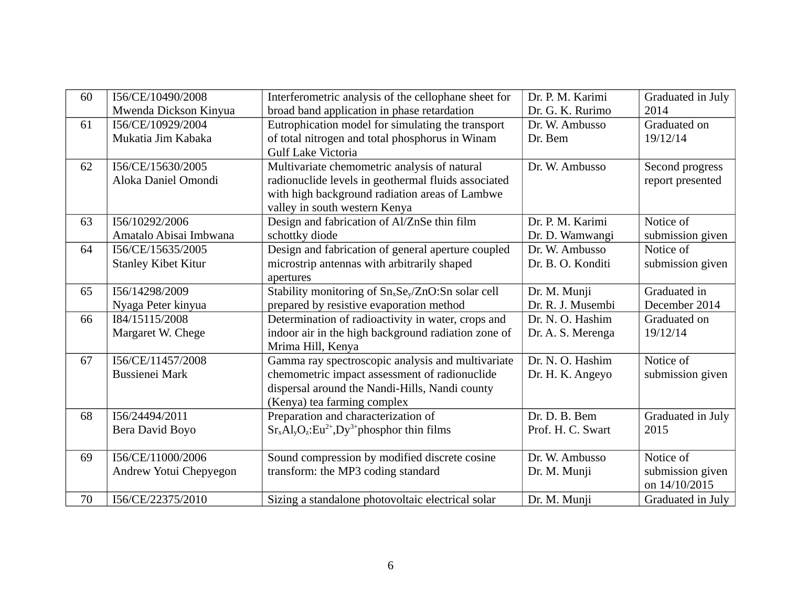| 60 | I56/CE/10490/2008          | Interferometric analysis of the cellophane sheet for                       | Dr. P. M. Karimi  | Graduated in July |
|----|----------------------------|----------------------------------------------------------------------------|-------------------|-------------------|
|    | Mwenda Dickson Kinyua      | broad band application in phase retardation                                | Dr. G. K. Rurimo  | 2014              |
| 61 | I56/CE/10929/2004          | Eutrophication model for simulating the transport                          | Dr. W. Ambusso    | Graduated on      |
|    | Mukatia Jim Kabaka         | of total nitrogen and total phosphorus in Winam                            | Dr. Bem           | 19/12/14          |
|    |                            | <b>Gulf Lake Victoria</b>                                                  |                   |                   |
| 62 | I56/CE/15630/2005          | Multivariate chemometric analysis of natural                               | Dr. W. Ambusso    | Second progress   |
|    | Aloka Daniel Omondi        | radionuclide levels in geothermal fluids associated                        |                   | report presented  |
|    |                            | with high background radiation areas of Lambwe                             |                   |                   |
|    |                            | valley in south western Kenya                                              |                   |                   |
| 63 | I56/10292/2006             | Design and fabrication of Al/ZnSe thin film                                | Dr. P. M. Karimi  | Notice of         |
|    | Amatalo Abisai Imbwana     | schottky diode                                                             | Dr. D. Wamwangi   | submission given  |
| 64 | I56/CE/15635/2005          | Design and fabrication of general aperture coupled                         | Dr. W. Ambusso    | Notice of         |
|    | <b>Stanley Kibet Kitur</b> | microstrip antennas with arbitrarily shaped                                | Dr. B. O. Konditi | submission given  |
|    |                            | apertures                                                                  |                   |                   |
| 65 | I56/14298/2009             | Stability monitoring of Sn <sub>x</sub> Se <sub>v</sub> /ZnO:Sn solar cell | Dr. M. Munji      | Graduated in      |
|    | Nyaga Peter kinyua         | prepared by resistive evaporation method                                   | Dr. R. J. Musembi | December 2014     |
| 66 | I84/15115/2008             | Determination of radioactivity in water, crops and                         | Dr. N. O. Hashim  | Graduated on      |
|    | Margaret W. Chege          | indoor air in the high background radiation zone of                        | Dr. A. S. Merenga | 19/12/14          |
|    |                            | Mrima Hill, Kenya                                                          |                   |                   |
| 67 | I56/CE/11457/2008          | Gamma ray spectroscopic analysis and multivariate                          | Dr. N. O. Hashim  | Notice of         |
|    | Bussienei Mark             | chemometric impact assessment of radionuclide                              | Dr. H. K. Angeyo  | submission given  |
|    |                            | dispersal around the Nandi-Hills, Nandi county                             |                   |                   |
|    |                            | (Kenya) tea farming complex                                                |                   |                   |
| 68 | I56/24494/2011             | Preparation and characterization of                                        | Dr. D. B. Bem     | Graduated in July |
|    | Bera David Boyo            | $Sr_xAl_yO_z:Eu^{2+}$ , Dy <sup>3+</sup> phosphor thin films               | Prof. H. C. Swart | 2015              |
|    |                            |                                                                            |                   |                   |
| 69 | I56/CE/11000/2006          | Sound compression by modified discrete cosine                              | Dr. W. Ambusso    | Notice of         |
|    | Andrew Yotui Chepyegon     | transform: the MP3 coding standard                                         | Dr. M. Munji      | submission given  |
|    |                            |                                                                            |                   | on 14/10/2015     |
| 70 | I56/CE/22375/2010          | Sizing a standalone photovoltaic electrical solar                          | Dr. M. Munji      | Graduated in July |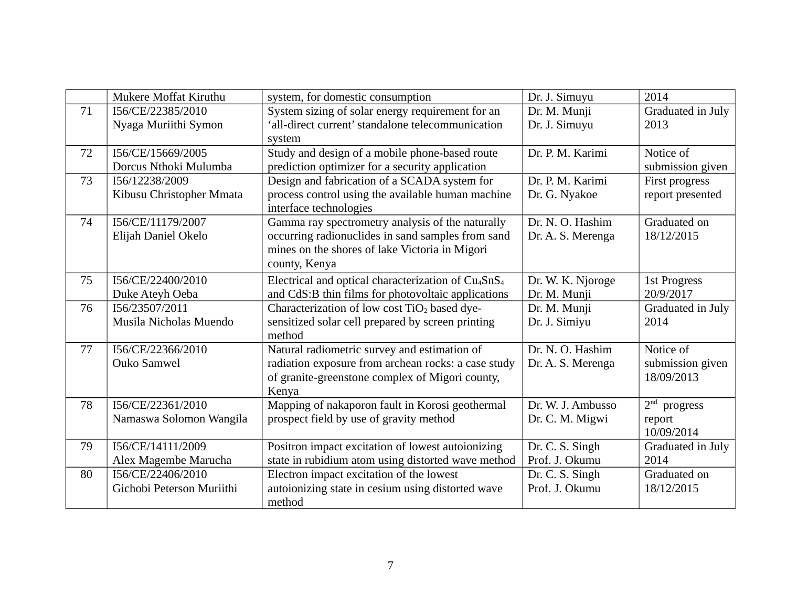|    | Mukere Moffat Kiruthu     | system, for domestic consumption                                            | Dr. J. Simuyu     | 2014                        |
|----|---------------------------|-----------------------------------------------------------------------------|-------------------|-----------------------------|
| 71 | I56/CE/22385/2010         | System sizing of solar energy requirement for an                            | Dr. M. Munji      | Graduated in July           |
|    | Nyaga Muriithi Symon      | 'all-direct current' standalone telecommunication                           | Dr. J. Simuyu     | 2013                        |
|    |                           | system                                                                      |                   |                             |
| 72 | I56/CE/15669/2005         | Study and design of a mobile phone-based route                              | Dr. P. M. Karimi  | Notice of                   |
|    | Dorcus Nthoki Mulumba     | prediction optimizer for a security application                             |                   | submission given            |
| 73 | I56/12238/2009            | Design and fabrication of a SCADA system for                                | Dr. P. M. Karimi  | First progress              |
|    | Kibusu Christopher Mmata  | process control using the available human machine<br>interface technologies | Dr. G. Nyakoe     | report presented            |
| 74 | I56/CE/11179/2007         | Gamma ray spectrometry analysis of the naturally                            | Dr. N. O. Hashim  | Graduated on                |
|    | Elijah Daniel Okelo       | occurring radionuclides in sand samples from sand                           | Dr. A. S. Merenga | 18/12/2015                  |
|    |                           | mines on the shores of lake Victoria in Migori                              |                   |                             |
|    |                           | county, Kenya                                                               |                   |                             |
| 75 | I56/CE/22400/2010         | Electrical and optical characterization of Cu <sub>4</sub> SnS <sub>4</sub> | Dr. W. K. Njoroge | 1st Progress                |
|    | Duke Ateyh Oeba           | and CdS:B thin films for photovoltaic applications                          | Dr. M. Munji      | 20/9/2017                   |
| 76 | I56/23507/2011            | Characterization of low cost TiO <sub>2</sub> based dye-                    | Dr. M. Munji      | Graduated in July           |
|    | Musila Nicholas Muendo    | sensitized solar cell prepared by screen printing                           | Dr. J. Simiyu     | 2014                        |
|    |                           | method                                                                      |                   |                             |
| 77 | I56/CE/22366/2010         | Natural radiometric survey and estimation of                                | Dr. N. O. Hashim  | Notice of                   |
|    | Ouko Samwel               | radiation exposure from archean rocks: a case study                         | Dr. A. S. Merenga | submission given            |
|    |                           | of granite-greenstone complex of Migori county,                             |                   | 18/09/2013                  |
|    |                           | Kenya                                                                       |                   |                             |
| 78 | I56/CE/22361/2010         | Mapping of nakaporon fault in Korosi geothermal                             | Dr. W. J. Ambusso | 2 <sup>nd</sup><br>progress |
|    | Namaswa Solomon Wangila   | prospect field by use of gravity method                                     | Dr. C. M. Migwi   | report                      |
|    |                           |                                                                             |                   | 10/09/2014                  |
| 79 | I56/CE/14111/2009         | Positron impact excitation of lowest autoionizing                           | Dr. C. S. Singh   | Graduated in July           |
|    | Alex Magembe Marucha      | state in rubidium atom using distorted wave method                          | Prof. J. Okumu    | 2014                        |
| 80 | I56/CE/22406/2010         | Electron impact excitation of the lowest                                    | Dr. C. S. Singh   | Graduated on                |
|    | Gichobi Peterson Muriithi | autoionizing state in cesium using distorted wave                           | Prof. J. Okumu    | 18/12/2015                  |
|    |                           | method                                                                      |                   |                             |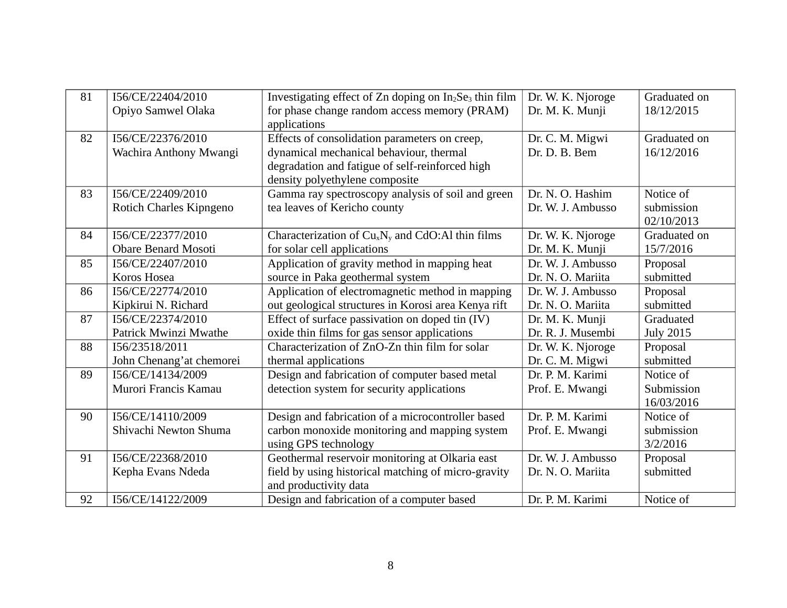| 81 | I56/CE/22404/2010          | Investigating effect of $Zn$ doping on $In2Se3$ thin film | Dr. W. K. Njoroge | Graduated on     |
|----|----------------------------|-----------------------------------------------------------|-------------------|------------------|
|    | Opiyo Samwel Olaka         | for phase change random access memory (PRAM)              | Dr. M. K. Munji   | 18/12/2015       |
|    |                            | applications                                              |                   |                  |
| 82 | I56/CE/22376/2010          | Effects of consolidation parameters on creep,             | Dr. C. M. Migwi   | Graduated on     |
|    | Wachira Anthony Mwangi     | dynamical mechanical behaviour, thermal                   | Dr. D. B. Bem     | 16/12/2016       |
|    |                            | degradation and fatigue of self-reinforced high           |                   |                  |
|    |                            | density polyethylene composite                            |                   |                  |
| 83 | I56/CE/22409/2010          | Gamma ray spectroscopy analysis of soil and green         | Dr. N. O. Hashim  | Notice of        |
|    | Rotich Charles Kipngeno    | tea leaves of Kericho county                              | Dr. W. J. Ambusso | submission       |
|    |                            |                                                           |                   | 02/10/2013       |
| 84 | I56/CE/22377/2010          | Characterization of $CuxNy$ and CdO:Al thin films         | Dr. W. K. Njoroge | Graduated on     |
|    | <b>Obare Benard Mosoti</b> | for solar cell applications                               | Dr. M. K. Munji   | 15/7/2016        |
| 85 | I56/CE/22407/2010          | Application of gravity method in mapping heat             | Dr. W. J. Ambusso | Proposal         |
|    | Koros Hosea                | source in Paka geothermal system                          | Dr. N. O. Mariita | submitted        |
| 86 | I56/CE/22774/2010          | Application of electromagnetic method in mapping          | Dr. W. J. Ambusso | Proposal         |
|    | Kipkirui N. Richard        | out geological structures in Korosi area Kenya rift       | Dr. N. O. Mariita | submitted        |
| 87 | I56/CE/22374/2010          | Effect of surface passivation on doped tin (IV)           | Dr. M. K. Munji   | Graduated        |
|    | Patrick Mwinzi Mwathe      | oxide thin films for gas sensor applications              | Dr. R. J. Musembi | <b>July 2015</b> |
| 88 | I56/23518/2011             | Characterization of ZnO-Zn thin film for solar            | Dr. W. K. Njoroge | Proposal         |
|    | John Chenang'at chemorei   | thermal applications                                      | Dr. C. M. Migwi   | submitted        |
| 89 | I56/CE/14134/2009          | Design and fabrication of computer based metal            | Dr. P. M. Karimi  | Notice of        |
|    | Murori Francis Kamau       | detection system for security applications                | Prof. E. Mwangi   | Submission       |
|    |                            |                                                           |                   | 16/03/2016       |
| 90 | I56/CE/14110/2009          | Design and fabrication of a microcontroller based         | Dr. P. M. Karimi  | Notice of        |
|    | Shivachi Newton Shuma      | carbon monoxide monitoring and mapping system             | Prof. E. Mwangi   | submission       |
|    |                            | using GPS technology                                      |                   | 3/2/2016         |
| 91 | I56/CE/22368/2010          | Geothermal reservoir monitoring at Olkaria east           | Dr. W. J. Ambusso | Proposal         |
|    | Kepha Evans Ndeda          | field by using historical matching of micro-gravity       | Dr. N. O. Mariita | submitted        |
|    |                            | and productivity data                                     |                   |                  |
| 92 | I56/CE/14122/2009          | Design and fabrication of a computer based                | Dr. P. M. Karimi  | Notice of        |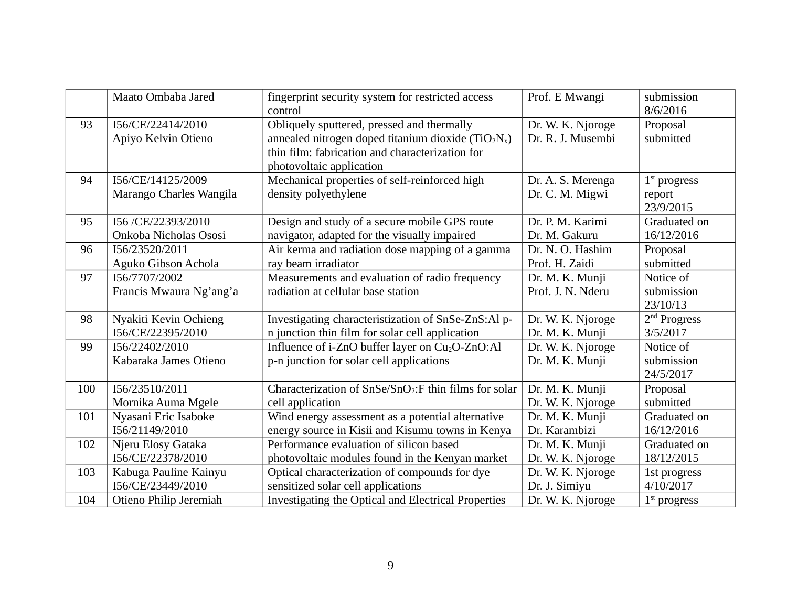|     | Maato Ombaba Jared                           | fingerprint security system for restricted access<br>control                                                                                                                       | Prof. E Mwangi                         | submission<br>8/6/2016                |
|-----|----------------------------------------------|------------------------------------------------------------------------------------------------------------------------------------------------------------------------------------|----------------------------------------|---------------------------------------|
| 93  | I56/CE/22414/2010<br>Apiyo Kelvin Otieno     | Obliquely sputtered, pressed and thermally<br>annealed nitrogen doped titanium dioxide ( $TiO2Nx$ )<br>thin film: fabrication and characterization for<br>photovoltaic application | Dr. W. K. Njoroge<br>Dr. R. J. Musembi | Proposal<br>submitted                 |
| 94  | I56/CE/14125/2009<br>Marango Charles Wangila | Mechanical properties of self-reinforced high<br>density polyethylene                                                                                                              | Dr. A. S. Merenga<br>Dr. C. M. Migwi   | $1st$ progress<br>report<br>23/9/2015 |
| 95  | I56/CE/22393/2010                            | Design and study of a secure mobile GPS route                                                                                                                                      | Dr. P. M. Karimi                       | Graduated on                          |
|     | Onkoba Nicholas Ososi                        | navigator, adapted for the visually impaired                                                                                                                                       | Dr. M. Gakuru                          | 16/12/2016                            |
| 96  | I56/23520/2011                               | Air kerma and radiation dose mapping of a gamma                                                                                                                                    | Dr. N. O. Hashim                       | Proposal                              |
|     | Aguko Gibson Achola                          | ray beam irradiator                                                                                                                                                                | Prof. H. Zaidi                         | submitted                             |
| 97  | I56/7707/2002<br>Francis Mwaura Ng'ang'a     | Measurements and evaluation of radio frequency<br>radiation at cellular base station                                                                                               | Dr. M. K. Munji<br>Prof. J. N. Nderu   | Notice of<br>submission<br>23/10/13   |
| 98  | Nyakiti Kevin Ochieng                        | Investigating characteristization of SnSe-ZnS:Al p-                                                                                                                                | Dr. W. K. Njoroge                      | 2 <sup>nd</sup> Progress              |
|     | I56/CE/22395/2010                            | n junction thin film for solar cell application                                                                                                                                    | Dr. M. K. Munji                        | 3/5/2017                              |
| 99  | I56/22402/2010<br>Kabaraka James Otieno      | Influence of i-ZnO buffer layer on Cu <sub>2</sub> O-ZnO:Al<br>p-n junction for solar cell applications                                                                            | Dr. W. K. Njoroge<br>Dr. M. K. Munji   | Notice of<br>submission<br>24/5/2017  |
| 100 | I56/23510/2011                               | Characterization of SnSe/SnO <sub>2</sub> :F thin films for solar                                                                                                                  | Dr. M. K. Munji                        | Proposal                              |
|     | Mornika Auma Mgele                           | cell application                                                                                                                                                                   | Dr. W. K. Njoroge                      | submitted                             |
| 101 | Nyasani Eric Isaboke                         | Wind energy assessment as a potential alternative                                                                                                                                  | Dr. M. K. Munji                        | Graduated on                          |
|     | I56/21149/2010                               | energy source in Kisii and Kisumu towns in Kenya                                                                                                                                   | Dr. Karambizi                          | 16/12/2016                            |
| 102 | Njeru Elosy Gataka                           | Performance evaluation of silicon based                                                                                                                                            | Dr. M. K. Munji                        | Graduated on                          |
|     | I56/CE/22378/2010                            | photovoltaic modules found in the Kenyan market                                                                                                                                    | Dr. W. K. Njoroge                      | 18/12/2015                            |
| 103 | Kabuga Pauline Kainyu                        | Optical characterization of compounds for dye                                                                                                                                      | Dr. W. K. Njoroge                      | 1st progress                          |
|     | I56/CE/23449/2010                            | sensitized solar cell applications                                                                                                                                                 | Dr. J. Simiyu                          | 4/10/2017                             |
| 104 | Otieno Philip Jeremiah                       | Investigating the Optical and Electrical Properties                                                                                                                                | Dr. W. K. Njoroge                      | $1st$ progress                        |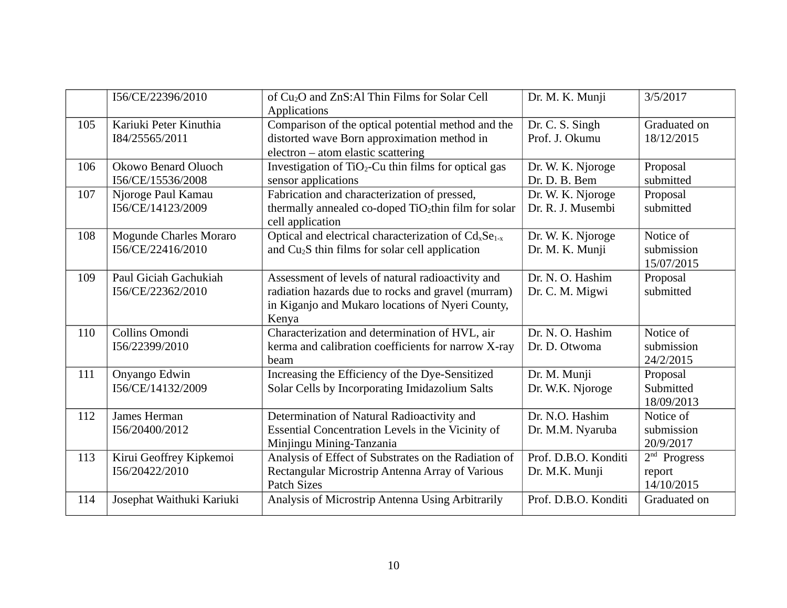|     | I56/CE/22396/2010                           | of Cu <sub>2</sub> O and ZnS:Al Thin Films for Solar Cell<br><b>Applications</b>                                                                                     | Dr. M. K. Munji                        | 3/5/2017                                         |
|-----|---------------------------------------------|----------------------------------------------------------------------------------------------------------------------------------------------------------------------|----------------------------------------|--------------------------------------------------|
| 105 | Kariuki Peter Kinuthia<br>I84/25565/2011    | Comparison of the optical potential method and the<br>distorted wave Born approximation method in<br>electron - atom elastic scattering                              | Dr. C. S. Singh<br>Prof. J. Okumu      | Graduated on<br>18/12/2015                       |
| 106 | Okowo Benard Oluoch<br>I56/CE/15536/2008    | Investigation of TiO <sub>2</sub> -Cu thin films for optical gas<br>sensor applications                                                                              | Dr. W. K. Njoroge<br>Dr. D. B. Bem     | Proposal<br>submitted                            |
| 107 | Njoroge Paul Kamau<br>I56/CE/14123/2009     | Fabrication and characterization of pressed,<br>thermally annealed co-doped TiO <sub>2</sub> thin film for solar<br>cell application                                 | Dr. W. K. Njoroge<br>Dr. R. J. Musembi | Proposal<br>submitted                            |
| 108 | Mogunde Charles Moraro<br>I56/CE/22416/2010 | Optical and electrical characterization of Cd <sub>x</sub> Se <sub>1-x</sub><br>and Cu <sub>2</sub> S thin films for solar cell application                          | Dr. W. K. Njoroge<br>Dr. M. K. Munji   | Notice of<br>submission<br>15/07/2015            |
| 109 | Paul Giciah Gachukiah<br>I56/CE/22362/2010  | Assessment of levels of natural radioactivity and<br>radiation hazards due to rocks and gravel (murram)<br>in Kiganjo and Mukaro locations of Nyeri County,<br>Kenya | Dr. N. O. Hashim<br>Dr. C. M. Migwi    | Proposal<br>submitted                            |
| 110 | Collins Omondi<br>I56/22399/2010            | Characterization and determination of HVL, air<br>kerma and calibration coefficients for narrow X-ray<br>beam                                                        | Dr. N. O. Hashim<br>Dr. D. Otwoma      | Notice of<br>submission<br>24/2/2015             |
| 111 | Onyango Edwin<br>I56/CE/14132/2009          | Increasing the Efficiency of the Dye-Sensitized<br>Solar Cells by Incorporating Imidazolium Salts                                                                    | Dr. M. Munji<br>Dr. W.K. Njoroge       | Proposal<br>Submitted<br>18/09/2013              |
| 112 | James Herman<br>I56/20400/2012              | Determination of Natural Radioactivity and<br>Essential Concentration Levels in the Vicinity of<br>Minjingu Mining-Tanzania                                          | Dr. N.O. Hashim<br>Dr. M.M. Nyaruba    | Notice of<br>submission<br>20/9/2017             |
| 113 | Kirui Geoffrey Kipkemoi<br>I56/20422/2010   | Analysis of Effect of Substrates on the Radiation of<br>Rectangular Microstrip Antenna Array of Various<br><b>Patch Sizes</b>                                        | Prof. D.B.O. Konditi<br>Dr. M.K. Munji | 2 <sup>nd</sup> Progress<br>report<br>14/10/2015 |
| 114 | Josephat Waithuki Kariuki                   | Analysis of Microstrip Antenna Using Arbitrarily                                                                                                                     | Prof. D.B.O. Konditi                   | Graduated on                                     |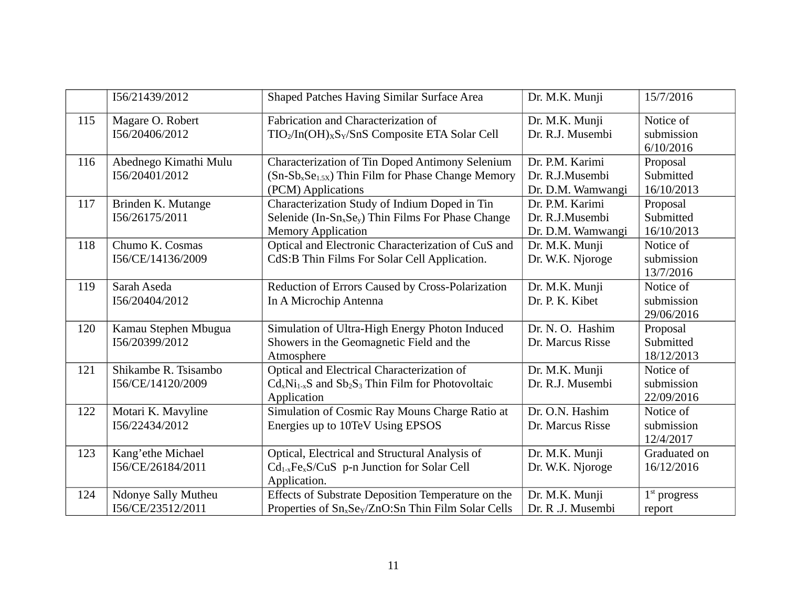|     | I56/21439/2012             | Shaped Patches Having Similar Surface Area                                         | Dr. M.K. Munji    | 15/7/2016      |
|-----|----------------------------|------------------------------------------------------------------------------------|-------------------|----------------|
| 115 | Magare O. Robert           | Fabrication and Characterization of                                                | Dr. M.K. Munji    | Notice of      |
|     | I56/20406/2012             | TIO <sub>2</sub> /In(OH) <sub>x</sub> S <sub>Y</sub> /SnS Composite ETA Solar Cell | Dr. R.J. Musembi  | submission     |
|     |                            |                                                                                    |                   | 6/10/2016      |
| 116 | Abednego Kimathi Mulu      | Characterization of Tin Doped Antimony Selenium                                    | Dr. P.M. Karimi   | Proposal       |
|     | I56/20401/2012             | (Sn-Sb <sub>x</sub> Se <sub>1.5X</sub> ) Thin Film for Phase Change Memory         | Dr. R.J.Musembi   | Submitted      |
|     |                            | (PCM) Applications                                                                 | Dr. D.M. Wamwangi | 16/10/2013     |
| 117 | Brinden K. Mutange         | Characterization Study of Indium Doped in Tin                                      | Dr. P.M. Karimi   | Proposal       |
|     | I56/26175/2011             | Selenide (In-Sn <sub>x</sub> Se <sub>y</sub> ) Thin Films For Phase Change         | Dr. R.J.Musembi   | Submitted      |
|     |                            | <b>Memory Application</b>                                                          | Dr. D.M. Wamwangi | 16/10/2013     |
| 118 | Chumo K. Cosmas            | Optical and Electronic Characterization of CuS and                                 | Dr. M.K. Munji    | Notice of      |
|     | I56/CE/14136/2009          | CdS:B Thin Films For Solar Cell Application.                                       | Dr. W.K. Njoroge  | submission     |
|     |                            |                                                                                    |                   | 13/7/2016      |
| 119 | Sarah Aseda                | Reduction of Errors Caused by Cross-Polarization                                   | Dr. M.K. Munji    | Notice of      |
|     | I56/20404/2012             | In A Microchip Antenna                                                             | Dr. P. K. Kibet   | submission     |
|     |                            |                                                                                    |                   | 29/06/2016     |
| 120 | Kamau Stephen Mbugua       | Simulation of Ultra-High Energy Photon Induced                                     | Dr. N. O. Hashim  | Proposal       |
|     | I56/20399/2012             | Showers in the Geomagnetic Field and the                                           | Dr. Marcus Risse  | Submitted      |
|     |                            | Atmosphere                                                                         |                   | 18/12/2013     |
| 121 | Shikambe R. Tsisambo       | Optical and Electrical Characterization of                                         | Dr. M.K. Munji    | Notice of      |
|     | I56/CE/14120/2009          | $CdxNi1-xS$ and $Sb2S3$ Thin Film for Photovoltaic                                 | Dr. R.J. Musembi  | submission     |
|     |                            | Application                                                                        |                   | 22/09/2016     |
| 122 | Motari K. Mavyline         | Simulation of Cosmic Ray Mouns Charge Ratio at                                     | Dr. O.N. Hashim   | Notice of      |
|     | I56/22434/2012             | Energies up to 10TeV Using EPSOS                                                   | Dr. Marcus Risse  | submission     |
|     |                            |                                                                                    |                   | 12/4/2017      |
| 123 | Kang'ethe Michael          | Optical, Electrical and Structural Analysis of                                     | Dr. M.K. Munji    | Graduated on   |
|     | I56/CE/26184/2011          | $Cd_{1-x}Fe_{x}S/CuS$ p-n Junction for Solar Cell                                  | Dr. W.K. Njoroge  | 16/12/2016     |
|     |                            | Application.                                                                       |                   |                |
| 124 | <b>Ndonye Sally Mutheu</b> | Effects of Substrate Deposition Temperature on the                                 | Dr. M.K. Munji    | $1st$ progress |
|     | I56/CE/23512/2011          | Properties of Sn <sub>x</sub> Se <sub>Y</sub> /ZnO:Sn Thin Film Solar Cells        | Dr. R .J. Musembi | report         |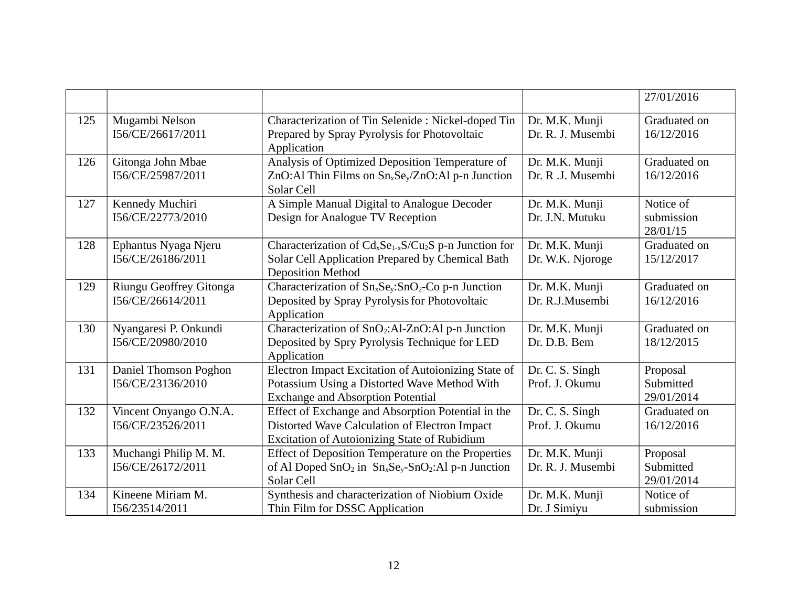|     |                                           |                                                                                            |                   | 27/01/2016   |
|-----|-------------------------------------------|--------------------------------------------------------------------------------------------|-------------------|--------------|
| 125 | Mugambi Nelson                            | Characterization of Tin Selenide: Nickel-doped Tin                                         | Dr. M.K. Munji    | Graduated on |
|     | I56/CE/26617/2011                         | Prepared by Spray Pyrolysis for Photovoltaic                                               | Dr. R. J. Musembi | 16/12/2016   |
|     |                                           | Application                                                                                |                   |              |
| 126 | Gitonga John Mbae                         | Analysis of Optimized Deposition Temperature of                                            | Dr. M.K. Munji    | Graduated on |
|     | I56/CE/25987/2011                         | ZnO:Al Thin Films on Sn <sub>x</sub> Se <sub>v</sub> /ZnO:Al p-n Junction                  | Dr. R .J. Musembi | 16/12/2016   |
|     |                                           | Solar Cell                                                                                 |                   |              |
| 127 | Kennedy Muchiri                           | A Simple Manual Digital to Analogue Decoder                                                | Dr. M.K. Munji    | Notice of    |
|     | I56/CE/22773/2010                         | Design for Analogue TV Reception                                                           | Dr. J.N. Mutuku   | submission   |
|     |                                           |                                                                                            |                   | 28/01/15     |
| 128 | Ephantus Nyaga Njeru<br>I56/CE/26186/2011 | Characterization of Cd <sub>x</sub> Se <sub>1-x</sub> S/Cu <sub>2</sub> S p-n Junction for | Dr. M.K. Munji    | Graduated on |
|     |                                           | Solar Cell Application Prepared by Chemical Bath<br><b>Deposition Method</b>               | Dr. W.K. Njoroge  | 15/12/2017   |
| 129 | Riungu Geoffrey Gitonga                   | Characterization of Sn <sub>x</sub> Se <sub>y</sub> :SnO <sub>2</sub> -Co p-n Junction     | Dr. M.K. Munji    | Graduated on |
|     | I56/CE/26614/2011                         | Deposited by Spray Pyrolysis for Photovoltaic                                              | Dr. R.J.Musembi   | 16/12/2016   |
|     |                                           | Application                                                                                |                   |              |
| 130 | Nyangaresi P. Onkundi                     | Characterization of SnO <sub>2</sub> :Al-ZnO:Al p-n Junction                               | Dr. M.K. Munji    | Graduated on |
|     | I56/CE/20980/2010                         | Deposited by Spry Pyrolysis Technique for LED                                              | Dr. D.B. Bem      | 18/12/2015   |
|     |                                           | Application                                                                                |                   |              |
| 131 | Daniel Thomson Poghon                     | Electron Impact Excitation of Autoionizing State of                                        | Dr. C. S. Singh   | Proposal     |
|     | I56/CE/23136/2010                         | Potassium Using a Distorted Wave Method With                                               | Prof. J. Okumu    | Submitted    |
|     |                                           | <b>Exchange and Absorption Potential</b>                                                   |                   | 29/01/2014   |
| 132 | Vincent Onyango O.N.A.                    | Effect of Exchange and Absorption Potential in the                                         | Dr. C. S. Singh   | Graduated on |
|     | I56/CE/23526/2011                         | Distorted Wave Calculation of Electron Impact                                              | Prof. J. Okumu    | 16/12/2016   |
|     |                                           | <b>Excitation of Autoionizing State of Rubidium</b>                                        |                   |              |
| 133 | Muchangi Philip M. M.                     | Effect of Deposition Temperature on the Properties                                         | Dr. M.K. Munji    | Proposal     |
|     | I56/CE/26172/2011                         | of Al Doped $SnO2$ in $SnxSey-SnO2: Al p-n Junction$                                       | Dr. R. J. Musembi | Submitted    |
|     |                                           | Solar Cell                                                                                 |                   | 29/01/2014   |
| 134 | Kineene Miriam M.                         | Synthesis and characterization of Niobium Oxide                                            | Dr. M.K. Munji    | Notice of    |
|     | I56/23514/2011                            | Thin Film for DSSC Application                                                             | Dr. J Simiyu      | submission   |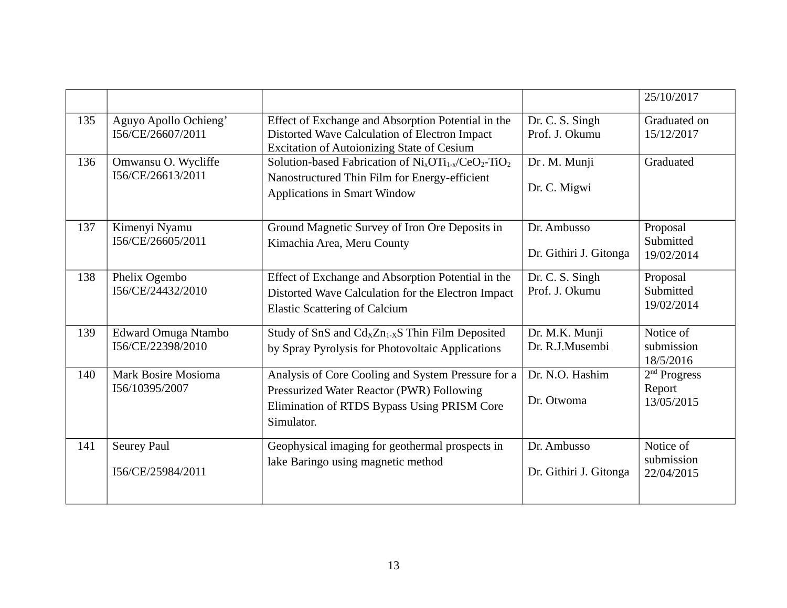|     |                                            |                                                                                                                                                                                |                                       | 25/10/2017                                       |
|-----|--------------------------------------------|--------------------------------------------------------------------------------------------------------------------------------------------------------------------------------|---------------------------------------|--------------------------------------------------|
| 135 | Aguyo Apollo Ochieng'<br>I56/CE/26607/2011 | Effect of Exchange and Absorption Potential in the<br>Distorted Wave Calculation of Electron Impact<br><b>Excitation of Autoionizing State of Cesium</b>                       | Dr. C. S. Singh<br>Prof. J. Okumu     | Graduated on<br>15/12/2017                       |
| 136 | Omwansu O. Wycliffe<br>I56/CE/26613/2011   | Solution-based Fabrication of $\text{Ni}_x \text{OTi}_{1-x}/\text{CeO}_2\text{-TiO}_2$<br>Nanostructured Thin Film for Energy-efficient<br><b>Applications in Smart Window</b> | Dr. M. Munji<br>Dr. C. Migwi          | Graduated                                        |
| 137 | Kimenyi Nyamu<br>I56/CE/26605/2011         | Ground Magnetic Survey of Iron Ore Deposits in<br>Kimachia Area, Meru County                                                                                                   | Dr. Ambusso<br>Dr. Githiri J. Gitonga | Proposal<br>Submitted<br>19/02/2014              |
| 138 | Phelix Ogembo<br>I56/CE/24432/2010         | Effect of Exchange and Absorption Potential in the<br>Distorted Wave Calculation for the Electron Impact<br><b>Elastic Scattering of Calcium</b>                               | Dr. C. S. Singh<br>Prof. J. Okumu     | Proposal<br>Submitted<br>19/02/2014              |
| 139 | Edward Omuga Ntambo<br>I56/CE/22398/2010   | Study of SnS and $Cd_XZn_{1-X}S$ Thin Film Deposited<br>by Spray Pyrolysis for Photovoltaic Applications                                                                       | Dr. M.K. Munji<br>Dr. R.J.Musembi     | Notice of<br>submission<br>18/5/2016             |
| 140 | Mark Bosire Mosioma<br>I56/10395/2007      | Analysis of Core Cooling and System Pressure for a<br>Pressurized Water Reactor (PWR) Following<br>Elimination of RTDS Bypass Using PRISM Core<br>Simulator.                   | Dr. N.O. Hashim<br>Dr. Otwoma         | 2 <sup>nd</sup> Progress<br>Report<br>13/05/2015 |
| 141 | <b>Seurey Paul</b><br>I56/CE/25984/2011    | Geophysical imaging for geothermal prospects in<br>lake Baringo using magnetic method                                                                                          | Dr. Ambusso<br>Dr. Githiri J. Gitonga | Notice of<br>submission<br>22/04/2015            |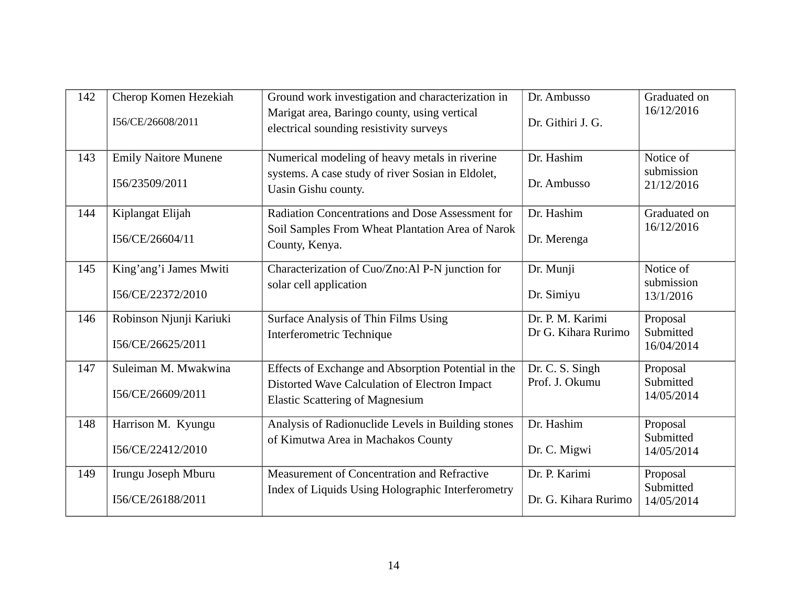| 142 | Cherop Komen Hezekiah<br>I56/CE/26608/2011    | Ground work investigation and characterization in<br>Marigat area, Baringo county, using vertical<br>electrical sounding resistivity surveys   | Dr. Ambusso<br>Dr. Githiri J. G.        | Graduated on<br>16/12/2016            |
|-----|-----------------------------------------------|------------------------------------------------------------------------------------------------------------------------------------------------|-----------------------------------------|---------------------------------------|
| 143 | <b>Emily Naitore Munene</b><br>I56/23509/2011 | Numerical modeling of heavy metals in riverine<br>systems. A case study of river Sosian in Eldolet,<br>Uasin Gishu county.                     | Dr. Hashim<br>Dr. Ambusso               | Notice of<br>submission<br>21/12/2016 |
| 144 | Kiplangat Elijah<br>I56/CE/26604/11           | <b>Radiation Concentrations and Dose Assessment for</b><br>Soil Samples From Wheat Plantation Area of Narok<br>County, Kenya.                  | Dr. Hashim<br>Dr. Merenga               | Graduated on<br>16/12/2016            |
| 145 | King'ang'i James Mwiti<br>I56/CE/22372/2010   | Characterization of Cuo/Zno:Al P-N junction for<br>solar cell application                                                                      | Dr. Munji<br>Dr. Simiyu                 | Notice of<br>submission<br>13/1/2016  |
| 146 | Robinson Njunji Kariuki<br>I56/CE/26625/2011  | Surface Analysis of Thin Films Using<br>Interferometric Technique                                                                              | Dr. P. M. Karimi<br>Dr G. Kihara Rurimo | Proposal<br>Submitted<br>16/04/2014   |
| 147 | Suleiman M. Mwakwina<br>I56/CE/26609/2011     | Effects of Exchange and Absorption Potential in the<br>Distorted Wave Calculation of Electron Impact<br><b>Elastic Scattering of Magnesium</b> | Dr. C. S. Singh<br>Prof. J. Okumu       | Proposal<br>Submitted<br>14/05/2014   |
| 148 | Harrison M. Kyungu<br>I56/CE/22412/2010       | Analysis of Radionuclide Levels in Building stones<br>of Kimutwa Area in Machakos County                                                       | Dr. Hashim<br>Dr. C. Migwi              | Proposal<br>Submitted<br>14/05/2014   |
| 149 | Irungu Joseph Mburu<br>I56/CE/26188/2011      | Measurement of Concentration and Refractive<br>Index of Liquids Using Holographic Interferometry                                               | Dr. P. Karimi<br>Dr. G. Kihara Rurimo   | Proposal<br>Submitted<br>14/05/2014   |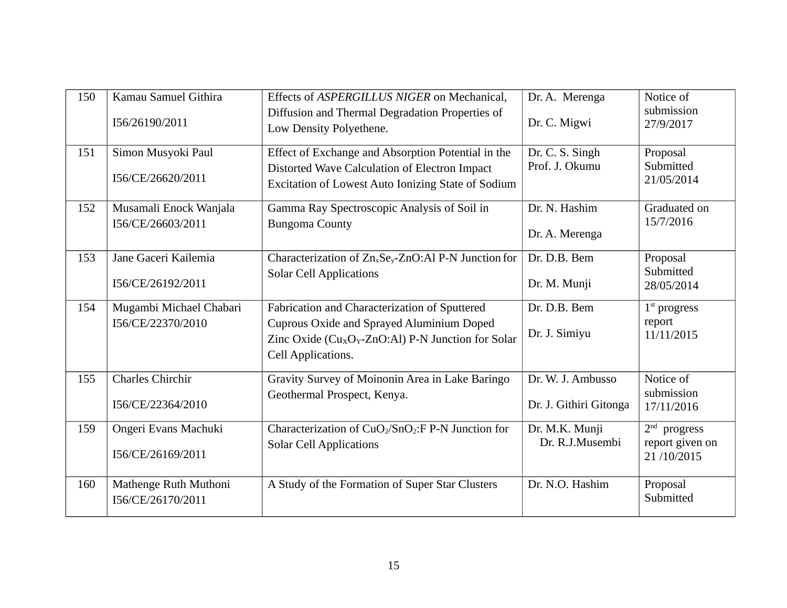| 150 | Kamau Samuel Githira<br>I56/26190/2011       | Effects of ASPERGILLUS NIGER on Mechanical,<br>Diffusion and Thermal Degradation Properties of<br>Low Density Polyethene.                                                                             | Dr. A. Merenga<br>Dr. C. Migwi              | Notice of<br>submission<br>27/9/2017            |
|-----|----------------------------------------------|-------------------------------------------------------------------------------------------------------------------------------------------------------------------------------------------------------|---------------------------------------------|-------------------------------------------------|
| 151 | Simon Musyoki Paul<br>I56/CE/26620/2011      | Effect of Exchange and Absorption Potential in the<br>Distorted Wave Calculation of Electron Impact<br><b>Excitation of Lowest Auto Ionizing State of Sodium</b>                                      | Dr. C. S. Singh<br>Prof. J. Okumu           | Proposal<br>Submitted<br>21/05/2014             |
| 152 | Musamali Enock Wanjala<br>I56/CE/26603/2011  | Gamma Ray Spectroscopic Analysis of Soil in<br><b>Bungoma County</b>                                                                                                                                  | Dr. N. Hashim<br>Dr. A. Merenga             | Graduated on<br>15/7/2016                       |
| 153 | Jane Gaceri Kailemia<br>I56/CE/26192/2011    | Characterization of Zn <sub>x</sub> Se <sub>y</sub> -ZnO:Al P-N Junction for<br><b>Solar Cell Applications</b>                                                                                        | Dr. D.B. Bem<br>Dr. M. Munji                | Proposal<br>Submitted<br>28/05/2014             |
| 154 | Mugambi Michael Chabari<br>I56/CE/22370/2010 | Fabrication and Characterization of Sputtered<br>Cuprous Oxide and Sprayed Aluminium Doped<br>Zinc Oxide (Cu <sub>x</sub> O <sub>Y</sub> -ZnO:Al) P-N Junction for Solar<br><b>Cell Applications.</b> | Dr. D.B. Bem<br>Dr. J. Simiyu               | $1st$ progress<br>report<br>11/11/2015          |
| 155 | <b>Charles Chirchir</b><br>I56/CE/22364/2010 | Gravity Survey of Moinonin Area in Lake Baringo<br>Geothermal Prospect, Kenya.                                                                                                                        | Dr. W. J. Ambusso<br>Dr. J. Githiri Gitonga | Notice of<br>submission<br>17/11/2016           |
| 159 | Ongeri Evans Machuki<br>I56/CE/26169/2011    | Characterization of CuO <sub>2</sub> /SnO <sub>2</sub> :F P-N Junction for<br><b>Solar Cell Applications</b>                                                                                          | Dr. M.K. Munji<br>Dr. R.J.Musembi           | $2nd$ progress<br>report given on<br>21/10/2015 |
| 160 | Mathenge Ruth Muthoni<br>I56/CE/26170/2011   | A Study of the Formation of Super Star Clusters                                                                                                                                                       | Dr. N.O. Hashim                             | Proposal<br>Submitted                           |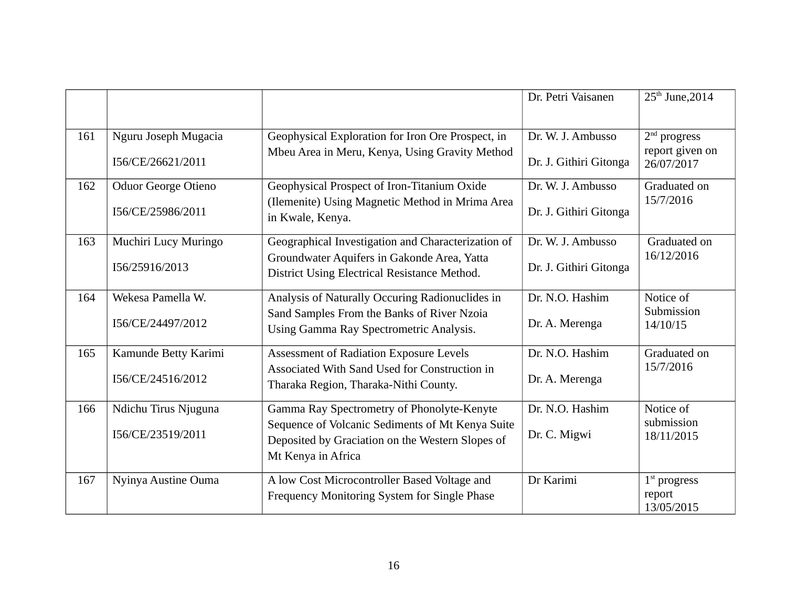|     |                      |                                                                                                      | Dr. Petri Vaisanen     | 25 <sup>th</sup> June, 2014            |
|-----|----------------------|------------------------------------------------------------------------------------------------------|------------------------|----------------------------------------|
| 161 | Nguru Joseph Mugacia | Geophysical Exploration for Iron Ore Prospect, in                                                    | Dr. W. J. Ambusso      | $2nd$ progress                         |
|     | I56/CE/26621/2011    | Mbeu Area in Meru, Kenya, Using Gravity Method                                                       | Dr. J. Githiri Gitonga | report given on<br>26/07/2017          |
| 162 | Oduor George Otieno  | Geophysical Prospect of Iron-Titanium Oxide                                                          | Dr. W. J. Ambusso      | Graduated on                           |
|     | I56/CE/25986/2011    | (Ilemenite) Using Magnetic Method in Mrima Area<br>in Kwale, Kenya.                                  | Dr. J. Githiri Gitonga | 15/7/2016                              |
| 163 | Muchiri Lucy Muringo | Geographical Investigation and Characterization of                                                   | Dr. W. J. Ambusso      | Graduated on                           |
|     | I56/25916/2013       | Groundwater Aquifers in Gakonde Area, Yatta<br>District Using Electrical Resistance Method.          | Dr. J. Githiri Gitonga | 16/12/2016                             |
| 164 | Wekesa Pamella W.    | Analysis of Naturally Occuring Radionuclides in                                                      | Dr. N.O. Hashim        | Notice of                              |
|     | I56/CE/24497/2012    | Sand Samples From the Banks of River Nzoia<br>Using Gamma Ray Spectrometric Analysis.                | Dr. A. Merenga         | Submission<br>14/10/15                 |
| 165 | Kamunde Betty Karimi | Assessment of Radiation Exposure Levels                                                              | Dr. N.O. Hashim        | Graduated on                           |
|     | I56/CE/24516/2012    | Associated With Sand Used for Construction in<br>Tharaka Region, Tharaka-Nithi County.               | Dr. A. Merenga         | 15/7/2016                              |
| 166 | Ndichu Tirus Njuguna | Gamma Ray Spectrometry of Phonolyte-Kenyte                                                           | Dr. N.O. Hashim        | Notice of                              |
|     | I56/CE/23519/2011    | Sequence of Volcanic Sediments of Mt Kenya Suite<br>Deposited by Graciation on the Western Slopes of | Dr. C. Migwi           | submission<br>18/11/2015               |
|     |                      | Mt Kenya in Africa                                                                                   |                        |                                        |
| 167 | Nyinya Austine Ouma  | A low Cost Microcontroller Based Voltage and<br>Frequency Monitoring System for Single Phase         | Dr Karimi              | $1st$ progress<br>report<br>13/05/2015 |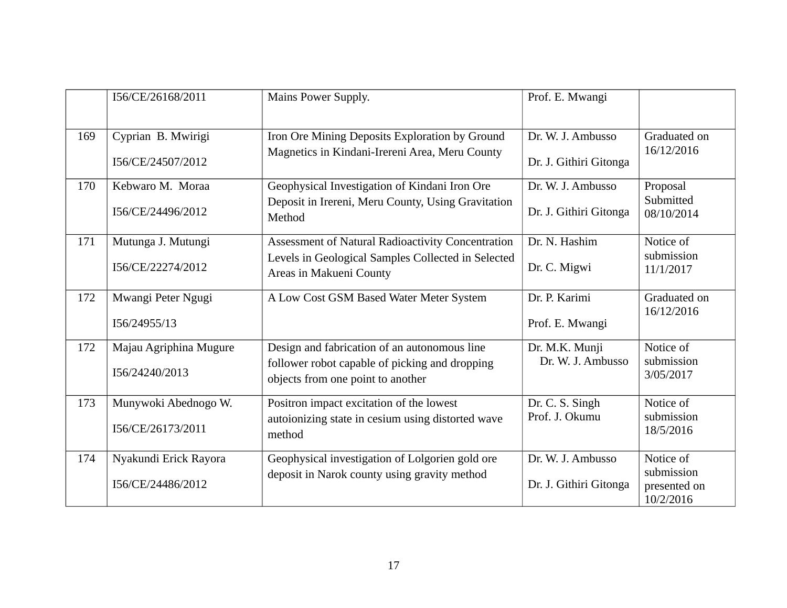|     | I56/CE/26168/2011                          | Mains Power Supply.                                                                                                                 | Prof. E. Mwangi                             |                                                      |
|-----|--------------------------------------------|-------------------------------------------------------------------------------------------------------------------------------------|---------------------------------------------|------------------------------------------------------|
| 169 | Cyprian B. Mwirigi<br>I56/CE/24507/2012    | Iron Ore Mining Deposits Exploration by Ground<br>Magnetics in Kindani-Irereni Area, Meru County                                    | Dr. W. J. Ambusso<br>Dr. J. Githiri Gitonga | Graduated on<br>16/12/2016                           |
| 170 | Kebwaro M. Moraa<br>I56/CE/24496/2012      | Geophysical Investigation of Kindani Iron Ore<br>Deposit in Irereni, Meru County, Using Gravitation<br>Method                       | Dr. W. J. Ambusso<br>Dr. J. Githiri Gitonga | Proposal<br>Submitted<br>08/10/2014                  |
| 171 | Mutunga J. Mutungi<br>I56/CE/22274/2012    | Assessment of Natural Radioactivity Concentration<br>Levels in Geological Samples Collected in Selected<br>Areas in Makueni County  | Dr. N. Hashim<br>Dr. C. Migwi               | Notice of<br>submission<br>11/1/2017                 |
| 172 | Mwangi Peter Ngugi<br>I56/24955/13         | A Low Cost GSM Based Water Meter System                                                                                             | Dr. P. Karimi<br>Prof. E. Mwangi            | Graduated on<br>16/12/2016                           |
| 172 | Majau Agriphina Mugure<br>I56/24240/2013   | Design and fabrication of an autonomous line<br>follower robot capable of picking and dropping<br>objects from one point to another | Dr. M.K. Munji<br>Dr. W. J. Ambusso         | Notice of<br>submission<br>3/05/2017                 |
| 173 | Munywoki Abednogo W.<br>I56/CE/26173/2011  | Positron impact excitation of the lowest<br>autoionizing state in cesium using distorted wave<br>method                             | Dr. C. S. Singh<br>Prof. J. Okumu           | Notice of<br>submission<br>18/5/2016                 |
| 174 | Nyakundi Erick Rayora<br>I56/CE/24486/2012 | Geophysical investigation of Lolgorien gold ore<br>deposit in Narok county using gravity method                                     | Dr. W. J. Ambusso<br>Dr. J. Githiri Gitonga | Notice of<br>submission<br>presented on<br>10/2/2016 |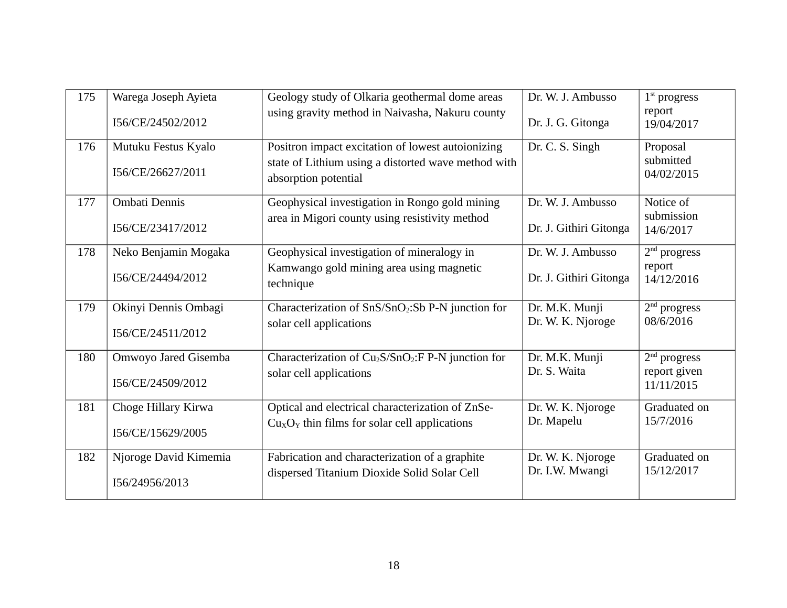| 175 | Warega Joseph Ayieta  | Geology study of Olkaria geothermal dome areas<br>using gravity method in Naivasha, Nakuru county        | Dr. W. J. Ambusso      | $1st$ progress<br>report   |
|-----|-----------------------|----------------------------------------------------------------------------------------------------------|------------------------|----------------------------|
|     | I56/CE/24502/2012     |                                                                                                          | Dr. J. G. Gitonga      | 19/04/2017                 |
| 176 | Mutuku Festus Kyalo   | Positron impact excitation of lowest autoionizing<br>state of Lithium using a distorted wave method with | Dr. C. S. Singh        | Proposal<br>submitted      |
|     | I56/CE/26627/2011     | absorption potential                                                                                     |                        | 04/02/2015                 |
| 177 | Ombati Dennis         | Geophysical investigation in Rongo gold mining                                                           | Dr. W. J. Ambusso      | Notice of                  |
|     | I56/CE/23417/2012     | area in Migori county using resistivity method                                                           | Dr. J. Githiri Gitonga | submission<br>14/6/2017    |
| 178 | Neko Benjamin Mogaka  | Geophysical investigation of mineralogy in                                                               | Dr. W. J. Ambusso      | $2nd$ progress             |
|     | I56/CE/24494/2012     | Kamwango gold mining area using magnetic<br>technique                                                    | Dr. J. Githiri Gitonga | report<br>14/12/2016       |
| 179 | Okinyi Dennis Ombagi  | Characterization of SnS/SnO2:Sb P-N junction for                                                         | Dr. M.K. Munji         | $2nd$ progress             |
|     | I56/CE/24511/2012     | solar cell applications                                                                                  | Dr. W. K. Njoroge      | 08/6/2016                  |
| 180 | Omwoyo Jared Gisemba  | Characterization of Cu <sub>2</sub> S/SnO <sub>2</sub> :F P-N junction for                               | Dr. M.K. Munji         | $2nd$ progress             |
|     | I56/CE/24509/2012     | solar cell applications                                                                                  | Dr. S. Waita           | report given<br>11/11/2015 |
| 181 | Choge Hillary Kirwa   | Optical and electrical characterization of ZnSe-                                                         | Dr. W. K. Njoroge      | Graduated on               |
|     | I56/CE/15629/2005     | $CuxOy$ thin films for solar cell applications                                                           | Dr. Mapelu             | 15/7/2016                  |
| 182 | Njoroge David Kimemia | Fabrication and characterization of a graphite                                                           | Dr. W. K. Njoroge      | Graduated on               |
|     | I56/24956/2013        | dispersed Titanium Dioxide Solid Solar Cell                                                              | Dr. I.W. Mwangi        | 15/12/2017                 |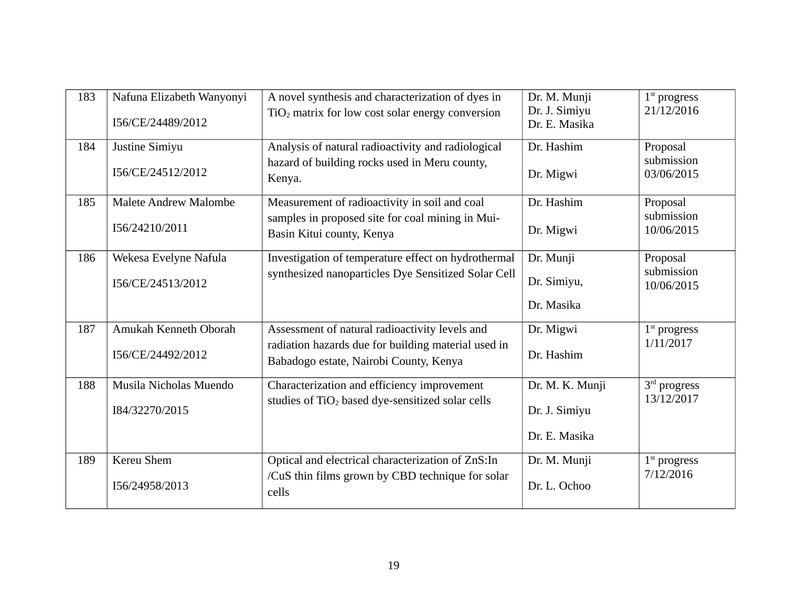| 183 | Nafuna Elizabeth Wanyonyi<br>I56/CE/24489/2012 | A novel synthesis and characterization of dyes in<br>$TiO2$ matrix for low cost solar energy conversion                                         | Dr. M. Munji<br>Dr. J. Simiyu<br>Dr. E. Masika    | $1st$ progress<br>21/12/2016         |
|-----|------------------------------------------------|-------------------------------------------------------------------------------------------------------------------------------------------------|---------------------------------------------------|--------------------------------------|
| 184 | Justine Simiyu<br>I56/CE/24512/2012            | Analysis of natural radioactivity and radiological<br>hazard of building rocks used in Meru county,<br>Kenya.                                   | Dr. Hashim<br>Dr. Migwi                           | Proposal<br>submission<br>03/06/2015 |
| 185 | <b>Malete Andrew Malombe</b><br>I56/24210/2011 | Measurement of radioactivity in soil and coal<br>samples in proposed site for coal mining in Mui-<br>Basin Kitui county, Kenya                  | Dr. Hashim<br>Dr. Migwi                           | Proposal<br>submission<br>10/06/2015 |
| 186 | Wekesa Evelyne Nafula<br>I56/CE/24513/2012     | Investigation of temperature effect on hydrothermal<br>synthesized nanoparticles Dye Sensitized Solar Cell                                      | Dr. Munji<br>Dr. Simiyu,<br>Dr. Masika            | Proposal<br>submission<br>10/06/2015 |
| 187 | Amukah Kenneth Oborah<br>I56/CE/24492/2012     | Assessment of natural radioactivity levels and<br>radiation hazards due for building material used in<br>Babadogo estate, Nairobi County, Kenya | Dr. Migwi<br>Dr. Hashim                           | $1st$ progress<br>1/11/2017          |
| 188 | Musila Nicholas Muendo<br>I84/32270/2015       | Characterization and efficiency improvement<br>studies of TiO <sub>2</sub> based dye-sensitized solar cells                                     | Dr. M. K. Munji<br>Dr. J. Simiyu<br>Dr. E. Masika | 3rd progress<br>13/12/2017           |
| 189 | Kereu Shem<br>I56/24958/2013                   | Optical and electrical characterization of ZnS:In<br>/CuS thin films grown by CBD technique for solar<br>cells                                  | Dr. M. Munji<br>Dr. L. Ochoo                      | $1st$ progress<br>7/12/2016          |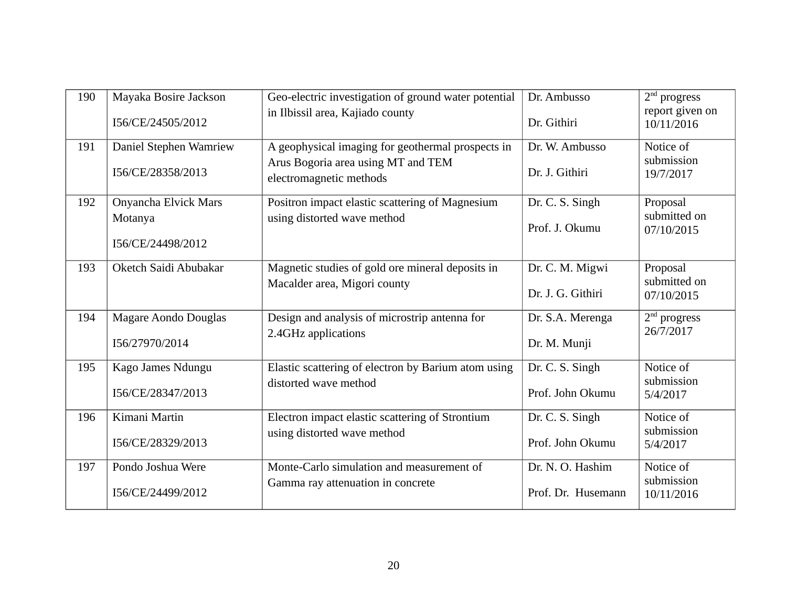| 190 | Mayaka Bosire Jackson       | Geo-electric investigation of ground water potential          | Dr. Ambusso        | $2nd$ progress                |
|-----|-----------------------------|---------------------------------------------------------------|--------------------|-------------------------------|
|     | I56/CE/24505/2012           | in Ilbissil area, Kajiado county                              | Dr. Githiri        | report given on<br>10/11/2016 |
| 191 | Daniel Stephen Wamriew      | A geophysical imaging for geothermal prospects in             | Dr. W. Ambusso     | Notice of                     |
|     | I56/CE/28358/2013           | Arus Bogoria area using MT and TEM<br>electromagnetic methods | Dr. J. Githiri     | submission<br>19/7/2017       |
| 192 | Onyancha Elvick Mars        | Positron impact elastic scattering of Magnesium               | Dr. C. S. Singh    | Proposal                      |
|     | Motanya                     | using distorted wave method                                   | Prof. J. Okumu     | submitted on<br>07/10/2015    |
|     | I56/CE/24498/2012           |                                                               |                    |                               |
| 193 | Oketch Saidi Abubakar       | Magnetic studies of gold ore mineral deposits in              | Dr. C. M. Migwi    | Proposal                      |
|     |                             | Macalder area, Migori county                                  | Dr. J. G. Githiri  | submitted on<br>07/10/2015    |
| 194 | <b>Magare Aondo Douglas</b> | Design and analysis of microstrip antenna for                 | Dr. S.A. Merenga   | $2nd$ progress                |
|     | I56/27970/2014              | 2.4GHz applications                                           | Dr. M. Munji       | 26/7/2017                     |
| 195 | Kago James Ndungu           | Elastic scattering of electron by Barium atom using           | Dr. C. S. Singh    | Notice of                     |
|     | I56/CE/28347/2013           | distorted wave method                                         | Prof. John Okumu   | submission<br>5/4/2017        |
| 196 | Kimani Martin               | Electron impact elastic scattering of Strontium               | Dr. C. S. Singh    | Notice of                     |
|     | I56/CE/28329/2013           | using distorted wave method                                   | Prof. John Okumu   | submission<br>5/4/2017        |
| 197 | Pondo Joshua Were           | Monte-Carlo simulation and measurement of                     | Dr. N. O. Hashim   | Notice of                     |
|     | I56/CE/24499/2012           | Gamma ray attenuation in concrete                             | Prof. Dr. Husemann | submission<br>10/11/2016      |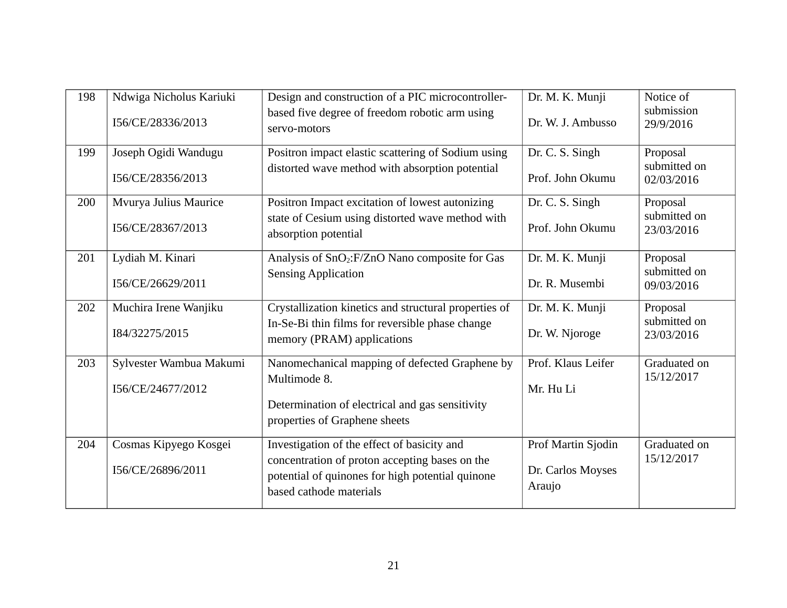| 198 | Ndwiga Nicholus Kariuki<br>I56/CE/28336/2013 | Design and construction of a PIC microcontroller-<br>based five degree of freedom robotic arm using<br>servo-motors                                                          | Dr. M. K. Munji<br>Dr. W. J. Ambusso              | Notice of<br>submission<br>29/9/2016   |
|-----|----------------------------------------------|------------------------------------------------------------------------------------------------------------------------------------------------------------------------------|---------------------------------------------------|----------------------------------------|
| 199 | Joseph Ogidi Wandugu<br>I56/CE/28356/2013    | Positron impact elastic scattering of Sodium using<br>distorted wave method with absorption potential                                                                        | Dr. C. S. Singh<br>Prof. John Okumu               | Proposal<br>submitted on<br>02/03/2016 |
| 200 | Mvurya Julius Maurice<br>I56/CE/28367/2013   | Positron Impact excitation of lowest autonizing<br>state of Cesium using distorted wave method with<br>absorption potential                                                  | Dr. C. S. Singh<br>Prof. John Okumu               | Proposal<br>submitted on<br>23/03/2016 |
| 201 | Lydiah M. Kinari<br>I56/CE/26629/2011        | Analysis of SnO <sub>2</sub> :F/ZnO Nano composite for Gas<br><b>Sensing Application</b>                                                                                     | Dr. M. K. Munji<br>Dr. R. Musembi                 | Proposal<br>submitted on<br>09/03/2016 |
| 202 | Muchira Irene Wanjiku<br>I84/32275/2015      | Crystallization kinetics and structural properties of<br>In-Se-Bi thin films for reversible phase change<br>memory (PRAM) applications                                       | Dr. M. K. Munji<br>Dr. W. Njoroge                 | Proposal<br>submitted on<br>23/03/2016 |
| 203 | Sylvester Wambua Makumi<br>I56/CE/24677/2012 | Nanomechanical mapping of defected Graphene by<br>Multimode 8.<br>Determination of electrical and gas sensitivity<br>properties of Graphene sheets                           | Prof. Klaus Leifer<br>Mr. Hu Li                   | Graduated on<br>15/12/2017             |
| 204 | Cosmas Kipyego Kosgei<br>I56/CE/26896/2011   | Investigation of the effect of basicity and<br>concentration of proton accepting bases on the<br>potential of quinones for high potential quinone<br>based cathode materials | Prof Martin Sjodin<br>Dr. Carlos Moyses<br>Araujo | Graduated on<br>15/12/2017             |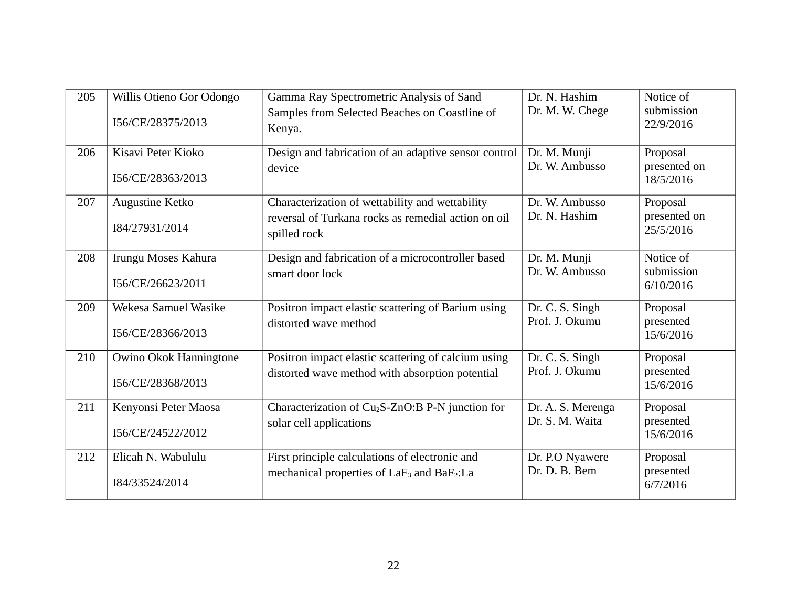| 205 | Willis Otieno Gor Odongo<br>I56/CE/28375/2013 | Gamma Ray Spectrometric Analysis of Sand<br>Samples from Selected Beaches on Coastline of<br>Kenya.                    | Dr. N. Hashim<br>Dr. M. W. Chege     | Notice of<br>submission<br>22/9/2016  |
|-----|-----------------------------------------------|------------------------------------------------------------------------------------------------------------------------|--------------------------------------|---------------------------------------|
| 206 | Kisavi Peter Kioko<br>I56/CE/28363/2013       | Design and fabrication of an adaptive sensor control<br>device                                                         | Dr. M. Munji<br>Dr. W. Ambusso       | Proposal<br>presented on<br>18/5/2016 |
| 207 | Augustine Ketko<br>I84/27931/2014             | Characterization of wettability and wettability<br>reversal of Turkana rocks as remedial action on oil<br>spilled rock | Dr. W. Ambusso<br>Dr. N. Hashim      | Proposal<br>presented on<br>25/5/2016 |
| 208 | Irungu Moses Kahura<br>I56/CE/26623/2011      | Design and fabrication of a microcontroller based<br>smart door lock                                                   | Dr. M. Munji<br>Dr. W. Ambusso       | Notice of<br>submission<br>6/10/2016  |
| 209 | Wekesa Samuel Wasike<br>I56/CE/28366/2013     | Positron impact elastic scattering of Barium using<br>distorted wave method                                            | Dr. C. S. Singh<br>Prof. J. Okumu    | Proposal<br>presented<br>15/6/2016    |
| 210 | Owino Okok Hanningtone<br>I56/CE/28368/2013   | Positron impact elastic scattering of calcium using<br>distorted wave method with absorption potential                 | Dr. C. S. Singh<br>Prof. J. Okumu    | Proposal<br>presented<br>15/6/2016    |
| 211 | Kenyonsi Peter Maosa<br>I56/CE/24522/2012     | Characterization of Cu <sub>2</sub> S-ZnO:B P-N junction for<br>solar cell applications                                | Dr. A. S. Merenga<br>Dr. S. M. Waita | Proposal<br>presented<br>15/6/2016    |
| 212 | Elicah N. Wabululu<br>I84/33524/2014          | First principle calculations of electronic and<br>mechanical properties of LaF <sub>3</sub> and BaF <sub>2</sub> :La   | Dr. P.O Nyawere<br>Dr. D. B. Bem     | Proposal<br>presented<br>6/7/2016     |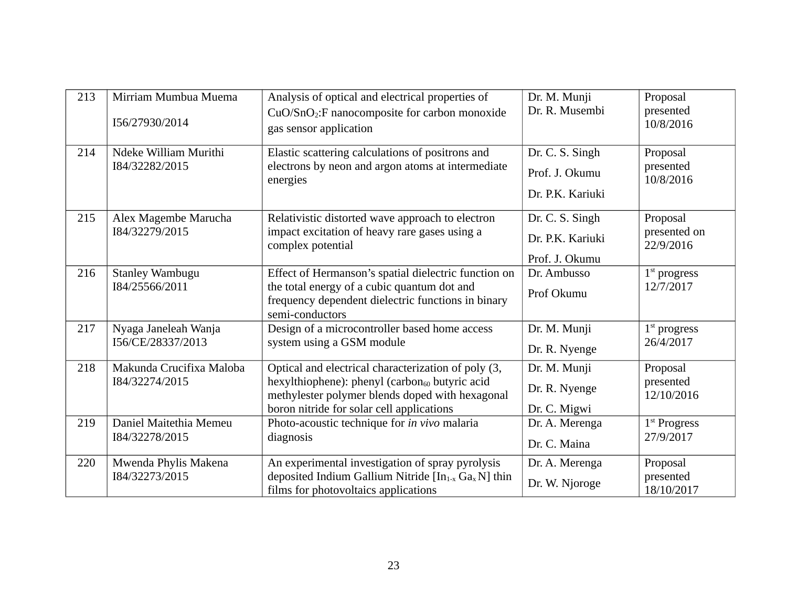| 213 | Mirriam Mumbua Muema<br>I56/27930/2014     | Analysis of optical and electrical properties of<br>CuO/SnO <sub>2</sub> :F nanocomposite for carbon monoxide<br>gas sensor application                                                                           | Dr. M. Munji<br>Dr. R. Musembi                        | Proposal<br>presented<br>10/8/2016    |
|-----|--------------------------------------------|-------------------------------------------------------------------------------------------------------------------------------------------------------------------------------------------------------------------|-------------------------------------------------------|---------------------------------------|
| 214 | Ndeke William Murithi<br>I84/32282/2015    | Elastic scattering calculations of positrons and<br>electrons by neon and argon atoms at intermediate<br>energies                                                                                                 | Dr. C. S. Singh<br>Prof. J. Okumu<br>Dr. P.K. Kariuki | Proposal<br>presented<br>10/8/2016    |
| 215 | Alex Magembe Marucha<br>I84/32279/2015     | Relativistic distorted wave approach to electron<br>impact excitation of heavy rare gases using a<br>complex potential                                                                                            | Dr. C. S. Singh<br>Dr. P.K. Kariuki<br>Prof. J. Okumu | Proposal<br>presented on<br>22/9/2016 |
| 216 | <b>Stanley Wambugu</b><br>I84/25566/2011   | Effect of Hermanson's spatial dielectric function on<br>the total energy of a cubic quantum dot and<br>frequency dependent dielectric functions in binary<br>semi-conductors                                      | Dr. Ambusso<br>Prof Okumu                             | $1st$ progress<br>12/7/2017           |
| 217 | Nyaga Janeleah Wanja<br>I56/CE/28337/2013  | Design of a microcontroller based home access<br>system using a GSM module                                                                                                                                        | Dr. M. Munji<br>Dr. R. Nyenge                         | $1st$ progress<br>26/4/2017           |
| 218 | Makunda Crucifixa Maloba<br>I84/32274/2015 | Optical and electrical characterization of poly (3,<br>hexylthiophene): phenyl (carbon <sub>60</sub> butyric acid<br>methylester polymer blends doped with hexagonal<br>boron nitride for solar cell applications | Dr. M. Munji<br>Dr. R. Nyenge<br>Dr. C. Migwi         | Proposal<br>presented<br>12/10/2016   |
| 219 | Daniel Maitethia Memeu<br>I84/32278/2015   | Photo-acoustic technique for in vivo malaria<br>diagnosis                                                                                                                                                         | Dr. A. Merenga<br>Dr. C. Maina                        | 1 <sup>st</sup> Progress<br>27/9/2017 |
| 220 | Mwenda Phylis Makena<br>I84/32273/2015     | An experimental investigation of spray pyrolysis<br>deposited Indium Gallium Nitride [In <sub>1-x</sub> Ga <sub>x</sub> N] thin<br>films for photovoltaics applications                                           | Dr. A. Merenga<br>Dr. W. Njoroge                      | Proposal<br>presented<br>18/10/2017   |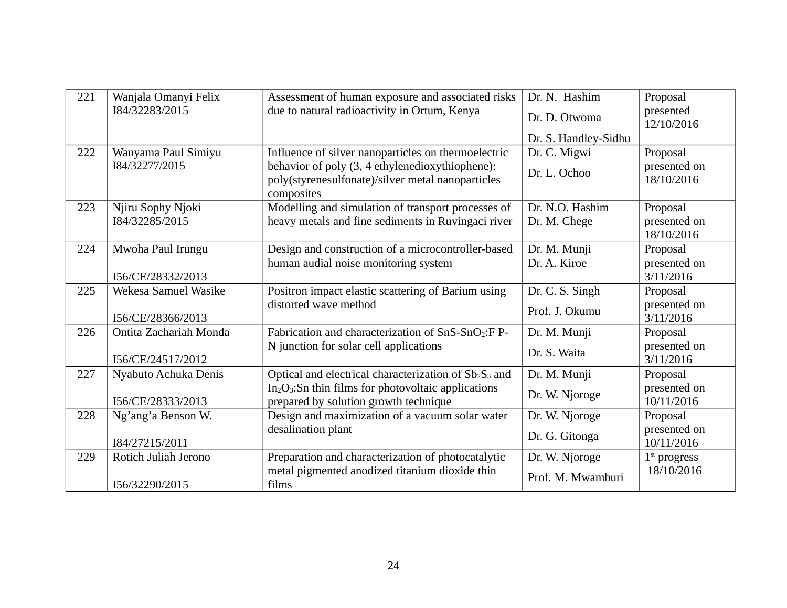| 221 | Wanjala Omanyi Felix   | Assessment of human exposure and associated risks                                                    | Dr. N. Hashim        | Proposal                   |
|-----|------------------------|------------------------------------------------------------------------------------------------------|----------------------|----------------------------|
|     | I84/32283/2015         | due to natural radioactivity in Ortum, Kenya                                                         | Dr. D. Otwoma        | presented<br>12/10/2016    |
|     |                        |                                                                                                      | Dr. S. Handley-Sidhu |                            |
| 222 | Wanyama Paul Simiyu    | Influence of silver nanoparticles on thermoelectric                                                  | Dr. C. Migwi         | Proposal                   |
|     | I84/32277/2015         | behavior of poly (3, 4 ethylenedioxythiophene):<br>poly(styrenesulfonate)/silver metal nanoparticles | Dr. L. Ochoo         | presented on<br>18/10/2016 |
|     |                        | composites                                                                                           |                      |                            |
| 223 | Njiru Sophy Njoki      | Modelling and simulation of transport processes of                                                   | Dr. N.O. Hashim      | Proposal                   |
|     | I84/32285/2015         | heavy metals and fine sediments in Ruvingaci river                                                   | Dr. M. Chege         | presented on<br>18/10/2016 |
| 224 | Mwoha Paul Irungu      | Design and construction of a microcontroller-based                                                   | Dr. M. Munji         | Proposal                   |
|     |                        | human audial noise monitoring system                                                                 | Dr. A. Kiroe         | presented on               |
|     | I56/CE/28332/2013      |                                                                                                      |                      | 3/11/2016                  |
| 225 | Wekesa Samuel Wasike   | Positron impact elastic scattering of Barium using                                                   | Dr. C. S. Singh      | Proposal                   |
|     | I56/CE/28366/2013      | distorted wave method                                                                                | Prof. J. Okumu       | presented on<br>3/11/2016  |
| 226 | Ontita Zachariah Monda | Fabrication and characterization of SnS-SnO <sub>2</sub> :F P-                                       | Dr. M. Munji         | Proposal                   |
|     | I56/CE/24517/2012      | N junction for solar cell applications                                                               | Dr. S. Waita         | presented on<br>3/11/2016  |
| 227 | Nyabuto Achuka Denis   | Optical and electrical characterization of Sb <sub>2</sub> S <sub>3</sub> and                        | Dr. M. Munji         | Proposal                   |
|     | I56/CE/28333/2013      | $In2O3$ : Sn thin films for photovoltaic applications<br>prepared by solution growth technique       | Dr. W. Njoroge       | presented on<br>10/11/2016 |
| 228 | Ng'ang'a Benson W.     | Design and maximization of a vacuum solar water                                                      | Dr. W. Njoroge       | Proposal                   |
|     | I84/27215/2011         | desalination plant                                                                                   | Dr. G. Gitonga       | presented on<br>10/11/2016 |
| 229 | Rotich Juliah Jerono   | Preparation and characterization of photocatalytic                                                   | Dr. W. Njoroge       | $1st$ progress             |
|     | I56/32290/2015         | metal pigmented anodized titanium dioxide thin<br>films                                              | Prof. M. Mwamburi    | 18/10/2016                 |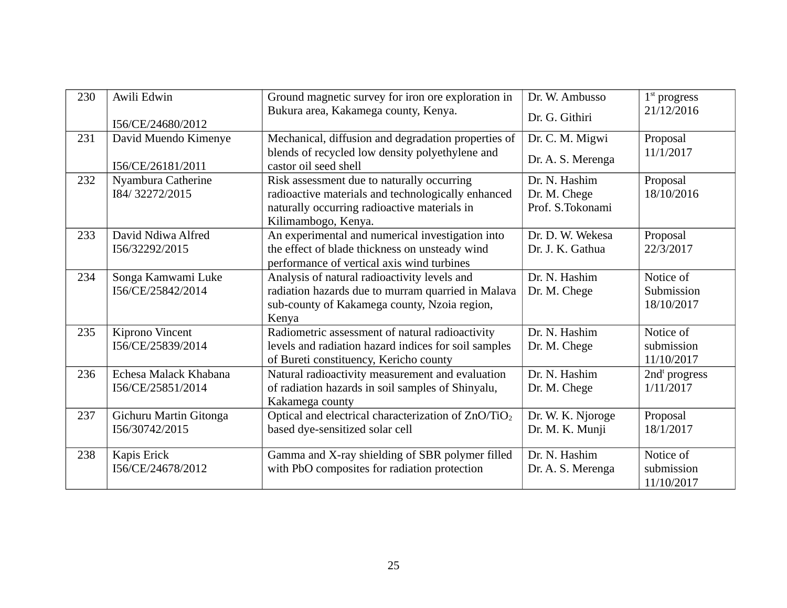| 230 | Awili Edwin            | Ground magnetic survey for iron ore exploration in                       | Dr. W. Ambusso    | $1st$ progress            |
|-----|------------------------|--------------------------------------------------------------------------|-------------------|---------------------------|
|     |                        | Bukura area, Kakamega county, Kenya.                                     | Dr. G. Githiri    | 21/12/2016                |
|     | I56/CE/24680/2012      |                                                                          |                   |                           |
| 231 | David Muendo Kimenye   | Mechanical, diffusion and degradation properties of                      | Dr. C. M. Migwi   | Proposal                  |
|     | I56/CE/26181/2011      | blends of recycled low density polyethylene and<br>castor oil seed shell | Dr. A. S. Merenga | 11/1/2017                 |
| 232 | Nyambura Catherine     | Risk assessment due to naturally occurring                               | Dr. N. Hashim     | Proposal                  |
|     | I84/32272/2015         | radioactive materials and technologically enhanced                       | Dr. M. Chege      | 18/10/2016                |
|     |                        | naturally occurring radioactive materials in                             | Prof. S.Tokonami  |                           |
|     |                        | Kilimambogo, Kenya.                                                      |                   |                           |
| 233 | David Ndiwa Alfred     | An experimental and numerical investigation into                         | Dr. D. W. Wekesa  | Proposal                  |
|     | I56/32292/2015         | the effect of blade thickness on unsteady wind                           | Dr. J. K. Gathua  | 22/3/2017                 |
|     |                        | performance of vertical axis wind turbines                               |                   |                           |
| 234 | Songa Kamwami Luke     | Analysis of natural radioactivity levels and                             | Dr. N. Hashim     | Notice of                 |
|     | I56/CE/25842/2014      | radiation hazards due to murram quarried in Malava                       | Dr. M. Chege      | Submission                |
|     |                        | sub-county of Kakamega county, Nzoia region,                             |                   | 18/10/2017                |
|     |                        | Kenya                                                                    |                   |                           |
| 235 | Kiprono Vincent        | Radiometric assessment of natural radioactivity                          | Dr. N. Hashim     | Notice of                 |
|     | I56/CE/25839/2014      | levels and radiation hazard indices for soil samples                     | Dr. M. Chege      | submission                |
|     |                        | of Bureti constituency, Kericho county                                   |                   | 11/10/2017                |
| 236 | Echesa Malack Khabana  | Natural radioactivity measurement and evaluation                         | Dr. N. Hashim     | 2nd <sup>t</sup> progress |
|     | I56/CE/25851/2014      | of radiation hazards in soil samples of Shinyalu,                        | Dr. M. Chege      | 1/11/2017                 |
|     |                        | Kakamega county                                                          |                   |                           |
| 237 | Gichuru Martin Gitonga | Optical and electrical characterization of ZnO/TiO <sub>2</sub>          | Dr. W. K. Njoroge | Proposal                  |
|     | I56/30742/2015         | based dye-sensitized solar cell                                          | Dr. M. K. Munji   | 18/1/2017                 |
|     |                        |                                                                          |                   |                           |
| 238 | Kapis Erick            | Gamma and X-ray shielding of SBR polymer filled                          | Dr. N. Hashim     | Notice of                 |
|     | I56/CE/24678/2012      | with PbO composites for radiation protection                             | Dr. A. S. Merenga | submission                |
|     |                        |                                                                          |                   | 11/10/2017                |